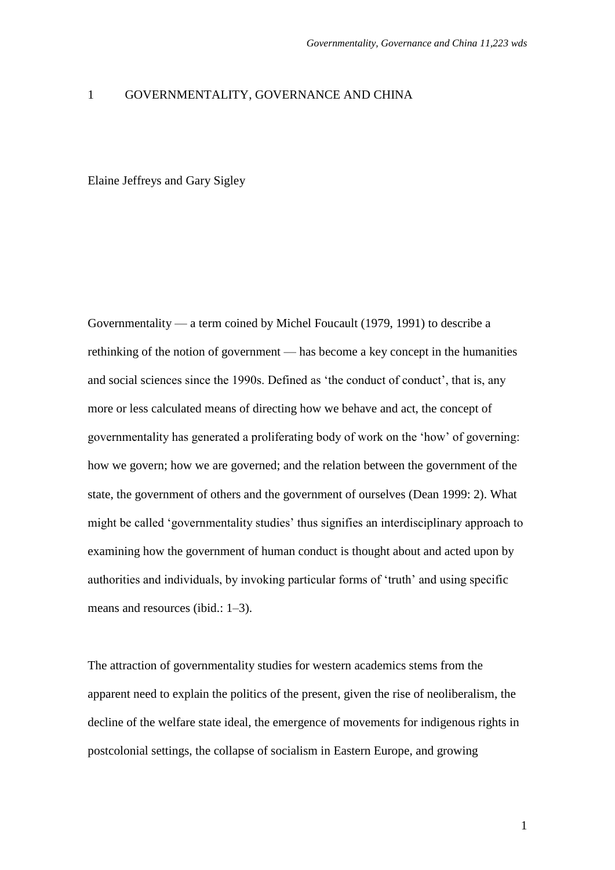### 1 GOVERNMENTALITY, GOVERNANCE AND CHINA

Elaine Jeffreys and Gary Sigley

Governmentality — a term coined by Michel Foucault (1979, 1991) to describe a rethinking of the notion of government — has become a key concept in the humanities and social sciences since the 1990s. Defined as 'the conduct of conduct', that is, any more or less calculated means of directing how we behave and act, the concept of governmentality has generated a proliferating body of work on the 'how' of governing: how we govern; how we are governed; and the relation between the government of the state, the government of others and the government of ourselves (Dean 1999: 2). What might be called 'governmentality studies' thus signifies an interdisciplinary approach to examining how the government of human conduct is thought about and acted upon by authorities and individuals, by invoking particular forms of 'truth' and using specific means and resources (ibid.: 1–3).

The attraction of governmentality studies for western academics stems from the apparent need to explain the politics of the present, given the rise of neoliberalism, the decline of the welfare state ideal, the emergence of movements for indigenous rights in postcolonial settings, the collapse of socialism in Eastern Europe, and growing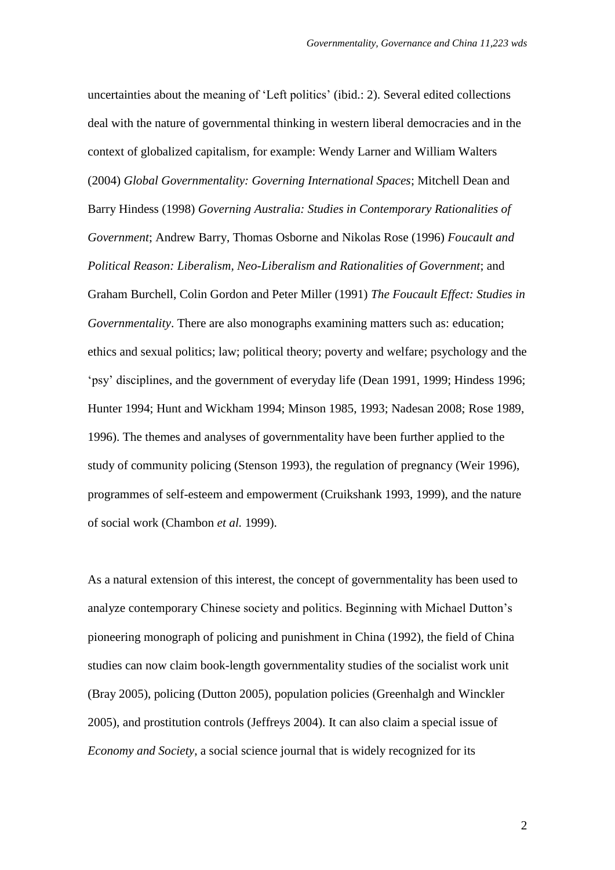uncertainties about the meaning of 'Left politics' (ibid.: 2). Several edited collections deal with the nature of governmental thinking in western liberal democracies and in the context of globalized capitalism, for example: Wendy Larner and William Walters (2004) *Global Governmentality: Governing International Spaces*; Mitchell Dean and Barry Hindess (1998) *Governing Australia: Studies in Contemporary Rationalities of Government*; Andrew Barry, Thomas Osborne and Nikolas Rose (1996) *Foucault and Political Reason: Liberalism, Neo-Liberalism and Rationalities of Government*; and Graham Burchell, Colin Gordon and Peter Miller (1991) *The Foucault Effect: Studies in Governmentality*. There are also monographs examining matters such as: education; ethics and sexual politics; law; political theory; poverty and welfare; psychology and the 'psy' disciplines, and the government of everyday life (Dean 1991, 1999; Hindess 1996; Hunter 1994; Hunt and Wickham 1994; Minson 1985, 1993; Nadesan 2008; Rose 1989, 1996). The themes and analyses of governmentality have been further applied to the study of community policing (Stenson 1993), the regulation of pregnancy (Weir 1996), programmes of self-esteem and empowerment (Cruikshank 1993, 1999), and the nature of social work (Chambon *et al.* 1999).

As a natural extension of this interest, the concept of governmentality has been used to analyze contemporary Chinese society and politics. Beginning with Michael Dutton's pioneering monograph of policing and punishment in China (1992), the field of China studies can now claim book-length governmentality studies of the socialist work unit (Bray 2005), policing (Dutton 2005), population policies (Greenhalgh and Winckler 2005), and prostitution controls (Jeffreys 2004). It can also claim a special issue of *Economy and Society*, a social science journal that is widely recognized for its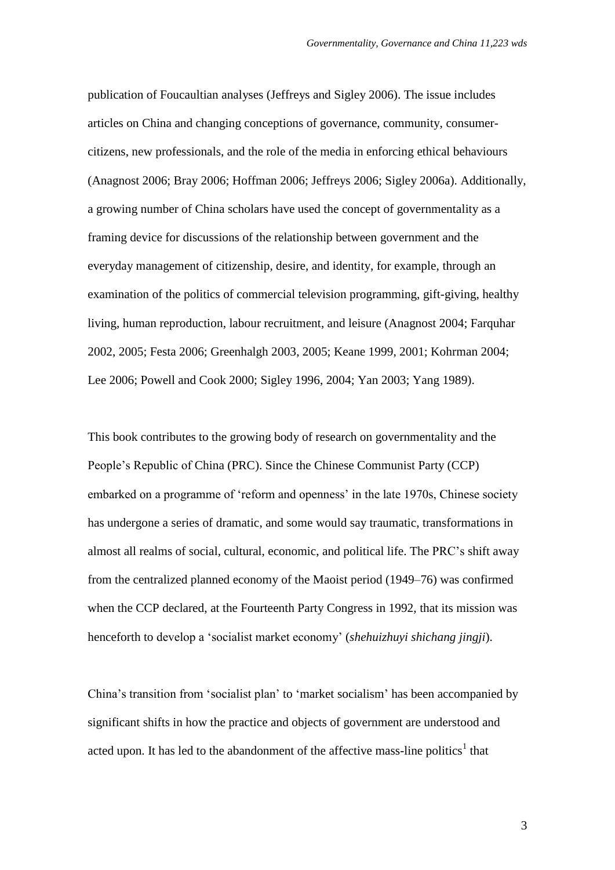publication of Foucaultian analyses (Jeffreys and Sigley 2006). The issue includes articles on China and changing conceptions of governance, community, consumercitizens, new professionals, and the role of the media in enforcing ethical behaviours (Anagnost 2006; Bray 2006; Hoffman 2006; Jeffreys 2006; Sigley 2006a). Additionally, a growing number of China scholars have used the concept of governmentality as a framing device for discussions of the relationship between government and the everyday management of citizenship, desire, and identity, for example, through an examination of the politics of commercial television programming, gift-giving, healthy living, human reproduction, labour recruitment, and leisure (Anagnost 2004; Farquhar 2002, 2005; Festa 2006; Greenhalgh 2003, 2005; Keane 1999, 2001; Kohrman 2004; Lee 2006; Powell and Cook 2000; Sigley 1996, 2004; Yan 2003; Yang 1989).

This book contributes to the growing body of research on governmentality and the People's Republic of China (PRC). Since the Chinese Communist Party (CCP) embarked on a programme of 'reform and openness' in the late 1970s, Chinese society has undergone a series of dramatic, and some would say traumatic, transformations in almost all realms of social, cultural, economic, and political life. The PRC's shift away from the centralized planned economy of the Maoist period (1949–76) was confirmed when the CCP declared, at the Fourteenth Party Congress in 1992, that its mission was henceforth to develop a 'socialist market economy' (*shehuizhuyi shichang jingji*).

China's transition from 'socialist plan' to 'market socialism' has been accompanied by significant shifts in how the practice and objects of government are understood and acted upon. It has led to the abandonment of the affective mass-line politics<sup>1</sup> that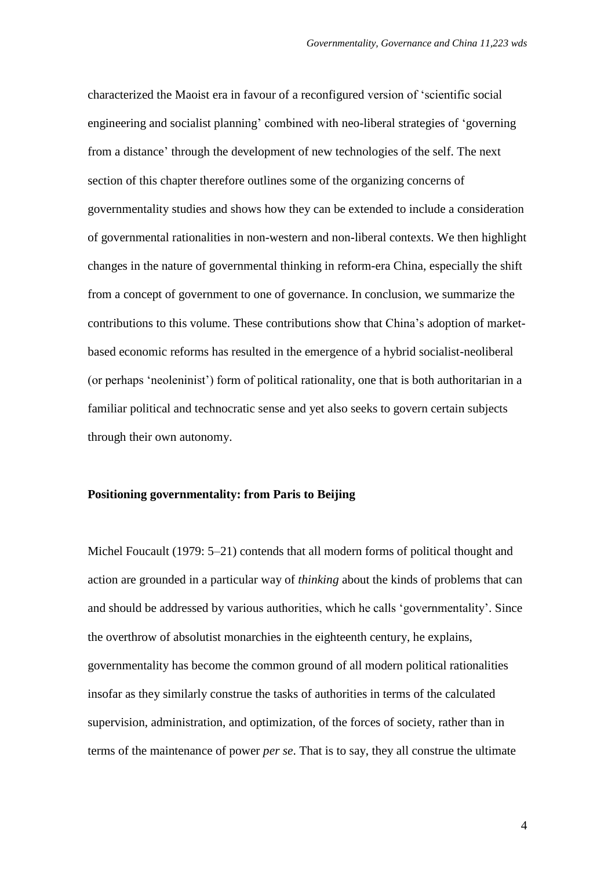characterized the Maoist era in favour of a reconfigured version of 'scientific social engineering and socialist planning' combined with neo-liberal strategies of 'governing from a distance' through the development of new technologies of the self. The next section of this chapter therefore outlines some of the organizing concerns of governmentality studies and shows how they can be extended to include a consideration of governmental rationalities in non-western and non-liberal contexts. We then highlight changes in the nature of governmental thinking in reform-era China, especially the shift from a concept of government to one of governance. In conclusion, we summarize the contributions to this volume. These contributions show that China's adoption of marketbased economic reforms has resulted in the emergence of a hybrid socialist-neoliberal (or perhaps 'neoleninist') form of political rationality, one that is both authoritarian in a familiar political and technocratic sense and yet also seeks to govern certain subjects through their own autonomy.

# **Positioning governmentality: from Paris to Beijing**

Michel Foucault (1979: 5–21) contends that all modern forms of political thought and action are grounded in a particular way of *thinking* about the kinds of problems that can and should be addressed by various authorities, which he calls 'governmentality'. Since the overthrow of absolutist monarchies in the eighteenth century, he explains, governmentality has become the common ground of all modern political rationalities insofar as they similarly construe the tasks of authorities in terms of the calculated supervision, administration, and optimization, of the forces of society, rather than in terms of the maintenance of power *per se*. That is to say, they all construe the ultimate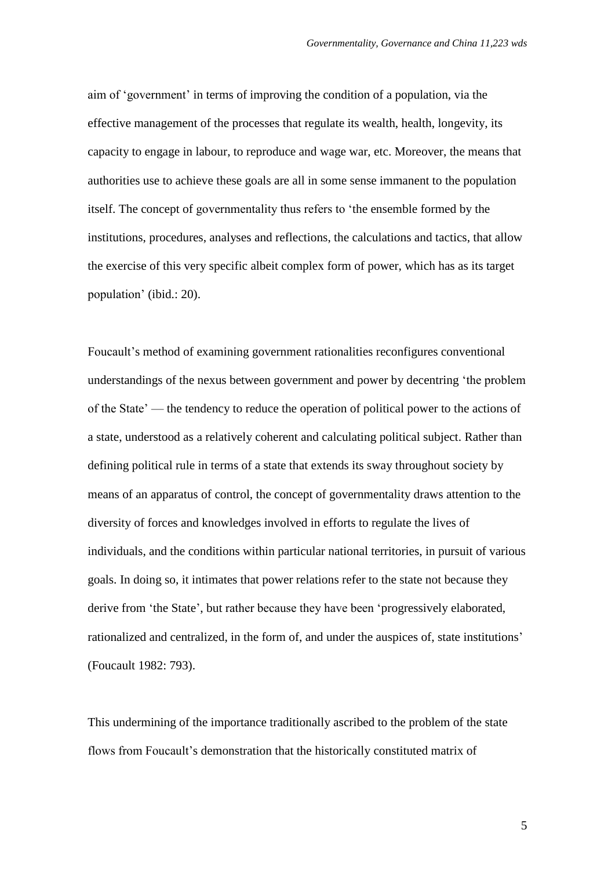aim of 'government' in terms of improving the condition of a population, via the effective management of the processes that regulate its wealth, health, longevity, its capacity to engage in labour, to reproduce and wage war, etc. Moreover, the means that authorities use to achieve these goals are all in some sense immanent to the population itself. The concept of governmentality thus refers to 'the ensemble formed by the institutions, procedures, analyses and reflections, the calculations and tactics, that allow the exercise of this very specific albeit complex form of power, which has as its target population' (ibid.: 20).

Foucault's method of examining government rationalities reconfigures conventional understandings of the nexus between government and power by decentring 'the problem of the State' — the tendency to reduce the operation of political power to the actions of a state, understood as a relatively coherent and calculating political subject. Rather than defining political rule in terms of a state that extends its sway throughout society by means of an apparatus of control, the concept of governmentality draws attention to the diversity of forces and knowledges involved in efforts to regulate the lives of individuals, and the conditions within particular national territories, in pursuit of various goals. In doing so, it intimates that power relations refer to the state not because they derive from 'the State', but rather because they have been 'progressively elaborated, rationalized and centralized, in the form of, and under the auspices of, state institutions' (Foucault 1982: 793).

This undermining of the importance traditionally ascribed to the problem of the state flows from Foucault's demonstration that the historically constituted matrix of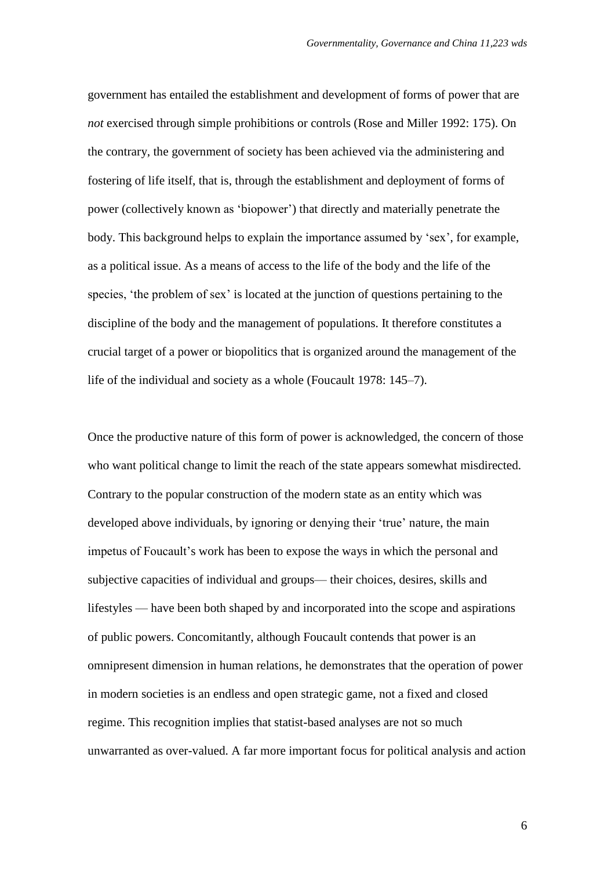government has entailed the establishment and development of forms of power that are *not* exercised through simple prohibitions or controls (Rose and Miller 1992: 175). On the contrary, the government of society has been achieved via the administering and fostering of life itself, that is, through the establishment and deployment of forms of power (collectively known as 'biopower') that directly and materially penetrate the body. This background helps to explain the importance assumed by 'sex', for example, as a political issue. As a means of access to the life of the body and the life of the species, 'the problem of sex' is located at the junction of questions pertaining to the discipline of the body and the management of populations. It therefore constitutes a crucial target of a power or biopolitics that is organized around the management of the life of the individual and society as a whole (Foucault 1978: 145–7).

Once the productive nature of this form of power is acknowledged, the concern of those who want political change to limit the reach of the state appears somewhat misdirected. Contrary to the popular construction of the modern state as an entity which was developed above individuals, by ignoring or denying their 'true' nature, the main impetus of Foucault's work has been to expose the ways in which the personal and subjective capacities of individual and groups— their choices, desires, skills and lifestyles — have been both shaped by and incorporated into the scope and aspirations of public powers. Concomitantly, although Foucault contends that power is an omnipresent dimension in human relations, he demonstrates that the operation of power in modern societies is an endless and open strategic game, not a fixed and closed regime. This recognition implies that statist-based analyses are not so much unwarranted as over-valued. A far more important focus for political analysis and action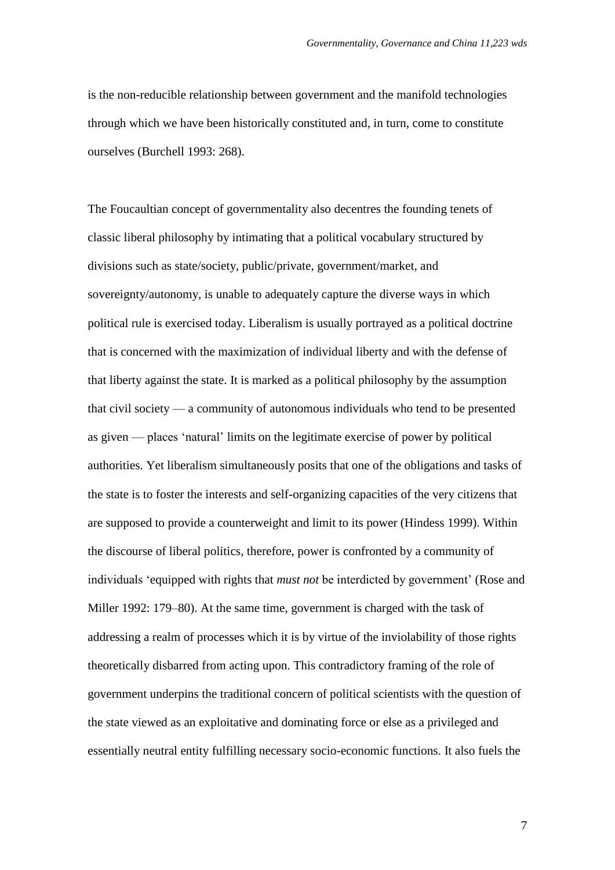is the non-reducible relationship between government and the manifold technologies through which we have been historically constituted and, in turn, come to constitute ourselves (Burchell 1993: 268).

The Foucaultian concept of governmentality also decentres the founding tenets of classic liberal philosophy by intimating that a political vocabulary structured by divisions such as state/society, public/private, government/market, and sovereignty/autonomy, is unable to adequately capture the diverse ways in which political rule is exercised today. Liberalism is usually portrayed as a political doctrine that is concerned with the maximization of individual liberty and with the defense of that liberty against the state. It is marked as a political philosophy by the assumption that civil society — a community of autonomous individuals who tend to be presented as given — places 'natural' limits on the legitimate exercise of power by political authorities. Yet liberalism simultaneously posits that one of the obligations and tasks of the state is to foster the interests and self-organizing capacities of the very citizens that are supposed to provide a counterweight and limit to its power (Hindess 1999). Within the discourse of liberal politics, therefore, power is confronted by a community of individuals 'equipped with rights that *must not* be interdicted by government' (Rose and Miller 1992: 179–80). At the same time, government is charged with the task of addressing a realm of processes which it is by virtue of the inviolability of those rights theoretically disbarred from acting upon. This contradictory framing of the role of government underpins the traditional concern of political scientists with the question of the state viewed as an exploitative and dominating force or else as a privileged and essentially neutral entity fulfilling necessary socio-economic functions. It also fuels the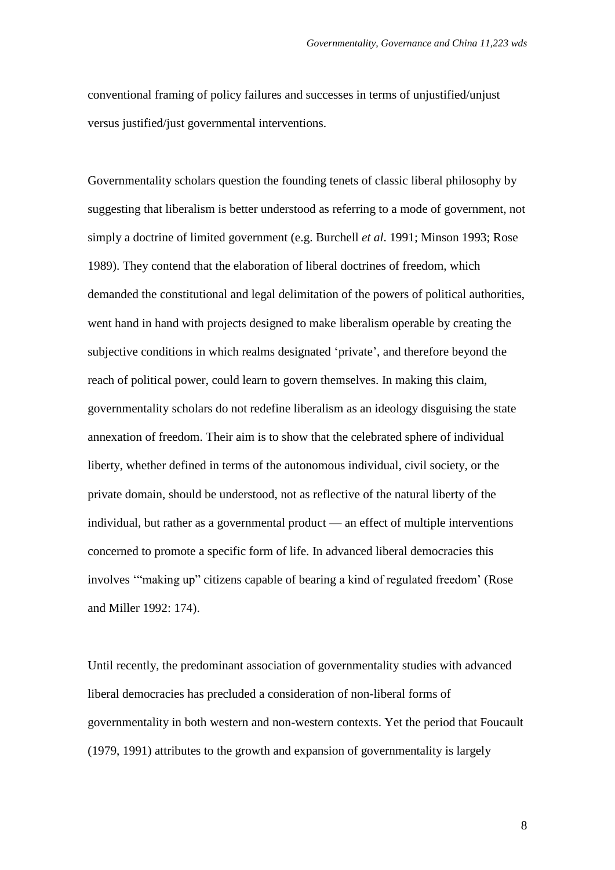conventional framing of policy failures and successes in terms of unjustified/unjust versus justified/just governmental interventions.

Governmentality scholars question the founding tenets of classic liberal philosophy by suggesting that liberalism is better understood as referring to a mode of government, not simply a doctrine of limited government (e.g. Burchell *et al*. 1991; Minson 1993; Rose 1989). They contend that the elaboration of liberal doctrines of freedom, which demanded the constitutional and legal delimitation of the powers of political authorities, went hand in hand with projects designed to make liberalism operable by creating the subjective conditions in which realms designated 'private', and therefore beyond the reach of political power, could learn to govern themselves. In making this claim, governmentality scholars do not redefine liberalism as an ideology disguising the state annexation of freedom. Their aim is to show that the celebrated sphere of individual liberty, whether defined in terms of the autonomous individual, civil society, or the private domain, should be understood, not as reflective of the natural liberty of the individual, but rather as a governmental product — an effect of multiple interventions concerned to promote a specific form of life. In advanced liberal democracies this involves '"making up" citizens capable of bearing a kind of regulated freedom' (Rose and Miller 1992: 174).

Until recently, the predominant association of governmentality studies with advanced liberal democracies has precluded a consideration of non-liberal forms of governmentality in both western and non-western contexts. Yet the period that Foucault (1979, 1991) attributes to the growth and expansion of governmentality is largely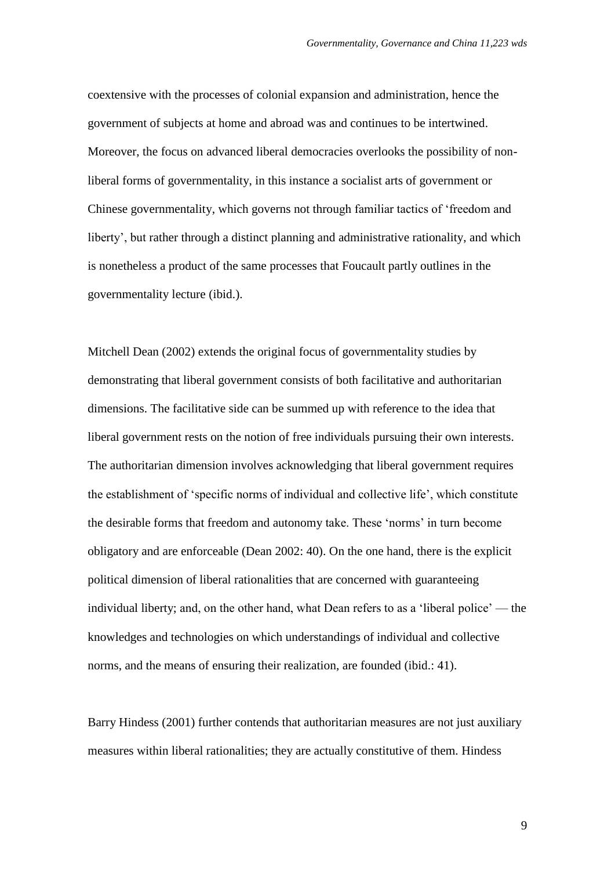coextensive with the processes of colonial expansion and administration, hence the government of subjects at home and abroad was and continues to be intertwined. Moreover, the focus on advanced liberal democracies overlooks the possibility of nonliberal forms of governmentality, in this instance a socialist arts of government or Chinese governmentality, which governs not through familiar tactics of 'freedom and liberty', but rather through a distinct planning and administrative rationality, and which is nonetheless a product of the same processes that Foucault partly outlines in the governmentality lecture (ibid.).

Mitchell Dean (2002) extends the original focus of governmentality studies by demonstrating that liberal government consists of both facilitative and authoritarian dimensions. The facilitative side can be summed up with reference to the idea that liberal government rests on the notion of free individuals pursuing their own interests. The authoritarian dimension involves acknowledging that liberal government requires the establishment of 'specific norms of individual and collective life', which constitute the desirable forms that freedom and autonomy take. These 'norms' in turn become obligatory and are enforceable (Dean 2002: 40). On the one hand, there is the explicit political dimension of liberal rationalities that are concerned with guaranteeing individual liberty; and, on the other hand, what Dean refers to as a 'liberal police' — the knowledges and technologies on which understandings of individual and collective norms, and the means of ensuring their realization, are founded (ibid.: 41).

Barry Hindess (2001) further contends that authoritarian measures are not just auxiliary measures within liberal rationalities; they are actually constitutive of them. Hindess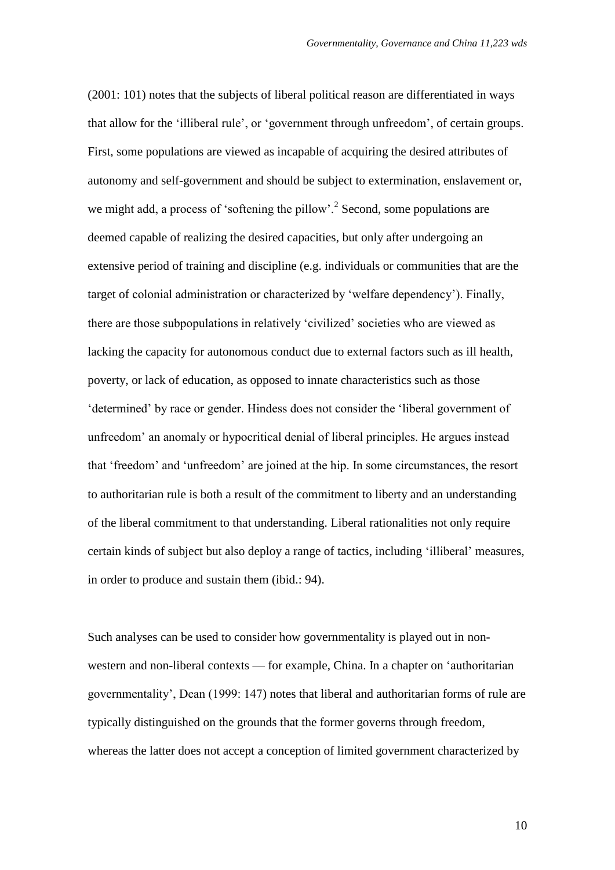(2001: 101) notes that the subjects of liberal political reason are differentiated in ways that allow for the 'illiberal rule', or 'government through unfreedom', of certain groups. First, some populations are viewed as incapable of acquiring the desired attributes of autonomy and self-government and should be subject to extermination, enslavement or, we might add, a process of 'softening the pillow'.<sup>2</sup> Second, some populations are deemed capable of realizing the desired capacities, but only after undergoing an extensive period of training and discipline (e.g. individuals or communities that are the target of colonial administration or characterized by 'welfare dependency'). Finally, there are those subpopulations in relatively 'civilized' societies who are viewed as lacking the capacity for autonomous conduct due to external factors such as ill health, poverty, or lack of education, as opposed to innate characteristics such as those 'determined' by race or gender. Hindess does not consider the 'liberal government of unfreedom' an anomaly or hypocritical denial of liberal principles. He argues instead that 'freedom' and 'unfreedom' are joined at the hip. In some circumstances, the resort to authoritarian rule is both a result of the commitment to liberty and an understanding of the liberal commitment to that understanding. Liberal rationalities not only require certain kinds of subject but also deploy a range of tactics, including 'illiberal' measures, in order to produce and sustain them (ibid.: 94).

Such analyses can be used to consider how governmentality is played out in nonwestern and non-liberal contexts — for example, China. In a chapter on 'authoritarian governmentality', Dean (1999: 147) notes that liberal and authoritarian forms of rule are typically distinguished on the grounds that the former governs through freedom, whereas the latter does not accept a conception of limited government characterized by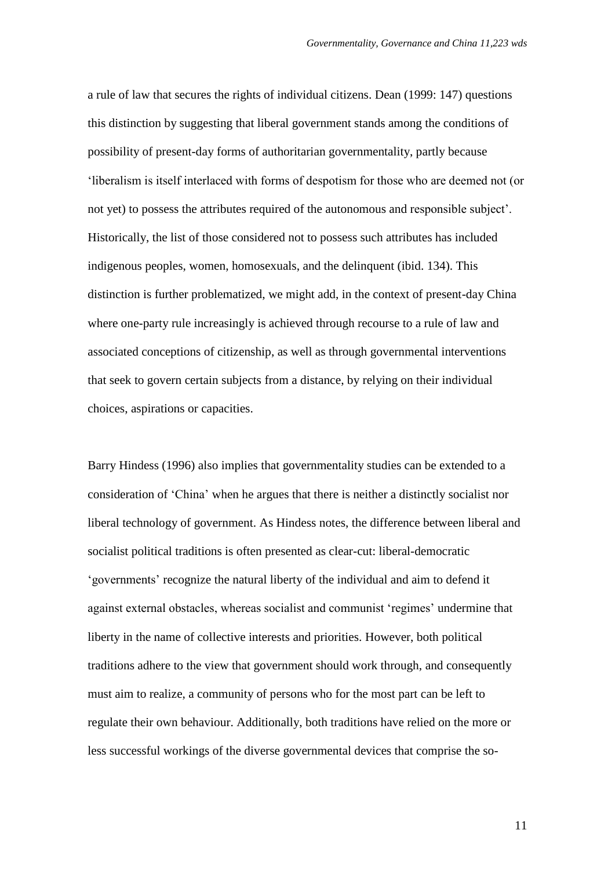a rule of law that secures the rights of individual citizens. Dean (1999: 147) questions this distinction by suggesting that liberal government stands among the conditions of possibility of present-day forms of authoritarian governmentality, partly because 'liberalism is itself interlaced with forms of despotism for those who are deemed not (or not yet) to possess the attributes required of the autonomous and responsible subject'. Historically, the list of those considered not to possess such attributes has included indigenous peoples, women, homosexuals, and the delinquent (ibid. 134). This distinction is further problematized, we might add, in the context of present-day China where one-party rule increasingly is achieved through recourse to a rule of law and associated conceptions of citizenship, as well as through governmental interventions that seek to govern certain subjects from a distance, by relying on their individual choices, aspirations or capacities.

Barry Hindess (1996) also implies that governmentality studies can be extended to a consideration of 'China' when he argues that there is neither a distinctly socialist nor liberal technology of government. As Hindess notes, the difference between liberal and socialist political traditions is often presented as clear-cut: liberal-democratic 'governments' recognize the natural liberty of the individual and aim to defend it against external obstacles, whereas socialist and communist 'regimes' undermine that liberty in the name of collective interests and priorities. However, both political traditions adhere to the view that government should work through, and consequently must aim to realize, a community of persons who for the most part can be left to regulate their own behaviour. Additionally, both traditions have relied on the more or less successful workings of the diverse governmental devices that comprise the so-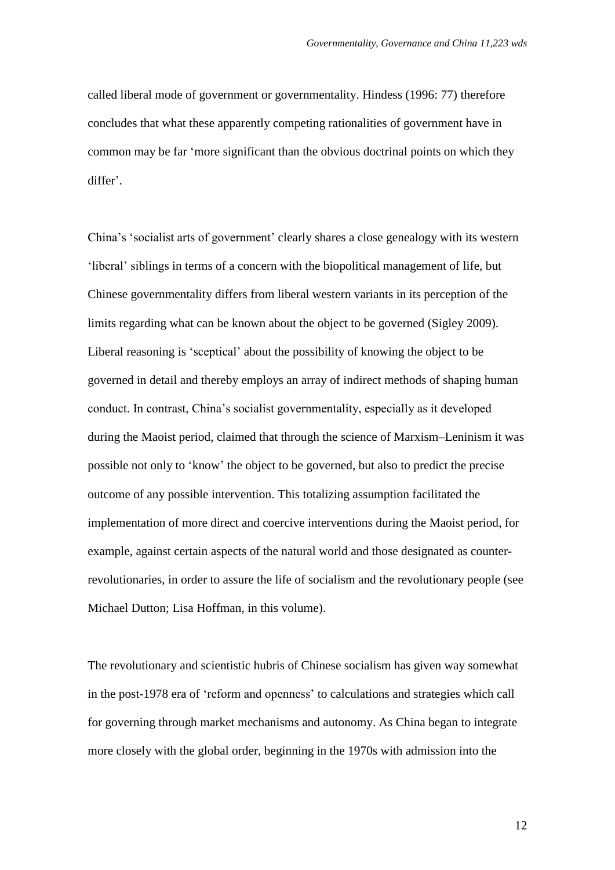called liberal mode of government or governmentality. Hindess (1996: 77) therefore concludes that what these apparently competing rationalities of government have in common may be far 'more significant than the obvious doctrinal points on which they differ'.

China's 'socialist arts of government' clearly shares a close genealogy with its western 'liberal' siblings in terms of a concern with the biopolitical management of life, but Chinese governmentality differs from liberal western variants in its perception of the limits regarding what can be known about the object to be governed (Sigley 2009). Liberal reasoning is 'sceptical' about the possibility of knowing the object to be governed in detail and thereby employs an array of indirect methods of shaping human conduct. In contrast, China's socialist governmentality, especially as it developed during the Maoist period, claimed that through the science of Marxism–Leninism it was possible not only to 'know' the object to be governed, but also to predict the precise outcome of any possible intervention. This totalizing assumption facilitated the implementation of more direct and coercive interventions during the Maoist period, for example, against certain aspects of the natural world and those designated as counterrevolutionaries, in order to assure the life of socialism and the revolutionary people (see Michael Dutton; Lisa Hoffman, in this volume).

The revolutionary and scientistic hubris of Chinese socialism has given way somewhat in the post-1978 era of 'reform and openness' to calculations and strategies which call for governing through market mechanisms and autonomy. As China began to integrate more closely with the global order, beginning in the 1970s with admission into the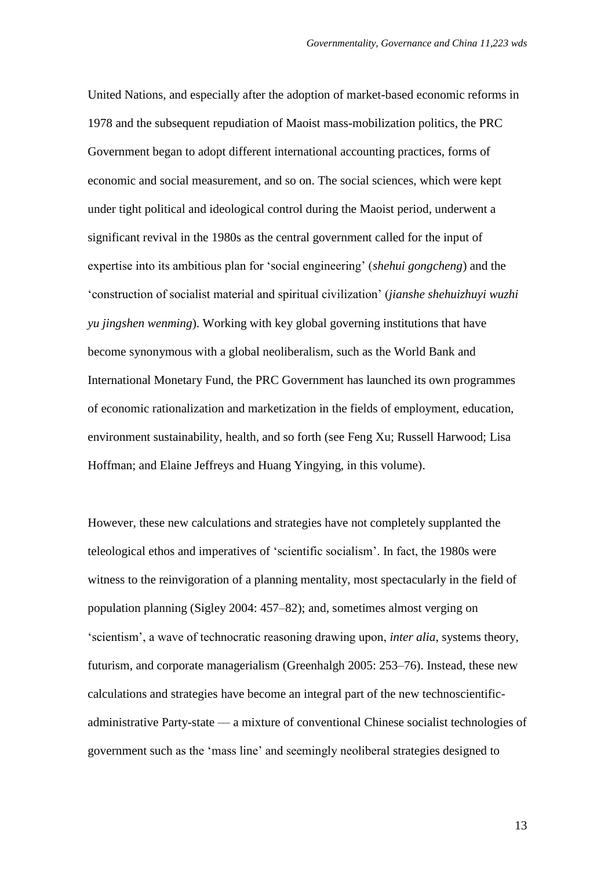United Nations, and especially after the adoption of market-based economic reforms in 1978 and the subsequent repudiation of Maoist mass-mobilization politics, the PRC Government began to adopt different international accounting practices, forms of economic and social measurement, and so on. The social sciences, which were kept under tight political and ideological control during the Maoist period, underwent a significant revival in the 1980s as the central government called for the input of expertise into its ambitious plan for 'social engineering' (*shehui gongcheng*) and the 'construction of socialist material and spiritual civilization' (*jianshe shehuizhuyi wuzhi yu jingshen wenming*). Working with key global governing institutions that have become synonymous with a global neoliberalism, such as the World Bank and International Monetary Fund, the PRC Government has launched its own programmes of economic rationalization and marketization in the fields of employment, education, environment sustainability, health, and so forth (see Feng Xu; Russell Harwood; Lisa Hoffman; and Elaine Jeffreys and Huang Yingying, in this volume).

However, these new calculations and strategies have not completely supplanted the teleological ethos and imperatives of 'scientific socialism'. In fact, the 1980s were witness to the reinvigoration of a planning mentality, most spectacularly in the field of population planning (Sigley 2004: 457–82); and, sometimes almost verging on 'scientism', a wave of technocratic reasoning drawing upon, *inter alia*, systems theory, futurism, and corporate managerialism (Greenhalgh 2005: 253–76). Instead, these new calculations and strategies have become an integral part of the new technoscientificadministrative Party-state — a mixture of conventional Chinese socialist technologies of government such as the 'mass line' and seemingly neoliberal strategies designed to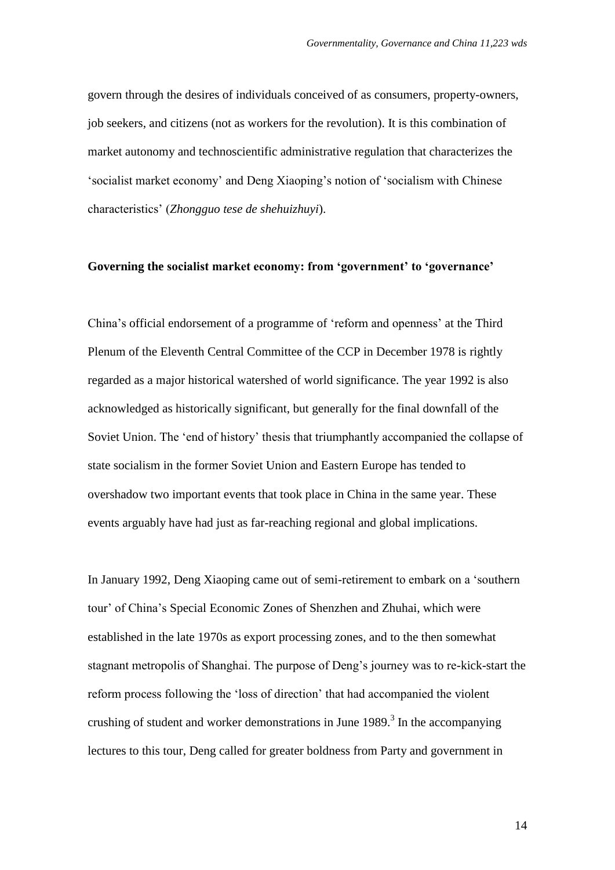govern through the desires of individuals conceived of as consumers, property-owners, job seekers, and citizens (not as workers for the revolution). It is this combination of market autonomy and technoscientific administrative regulation that characterizes the 'socialist market economy' and Deng Xiaoping's notion of 'socialism with Chinese characteristics' (*Zhongguo tese de shehuizhuyi*).

# **Governing the socialist market economy: from 'government' to 'governance'**

China's official endorsement of a programme of 'reform and openness' at the Third Plenum of the Eleventh Central Committee of the CCP in December 1978 is rightly regarded as a major historical watershed of world significance. The year 1992 is also acknowledged as historically significant, but generally for the final downfall of the Soviet Union. The 'end of history' thesis that triumphantly accompanied the collapse of state socialism in the former Soviet Union and Eastern Europe has tended to overshadow two important events that took place in China in the same year. These events arguably have had just as far-reaching regional and global implications.

In January 1992, Deng Xiaoping came out of semi-retirement to embark on a 'southern tour' of China's Special Economic Zones of Shenzhen and Zhuhai, which were established in the late 1970s as export processing zones, and to the then somewhat stagnant metropolis of Shanghai. The purpose of Deng's journey was to re-kick-start the reform process following the 'loss of direction' that had accompanied the violent crushing of student and worker demonstrations in June 1989. 3 In the accompanying lectures to this tour, Deng called for greater boldness from Party and government in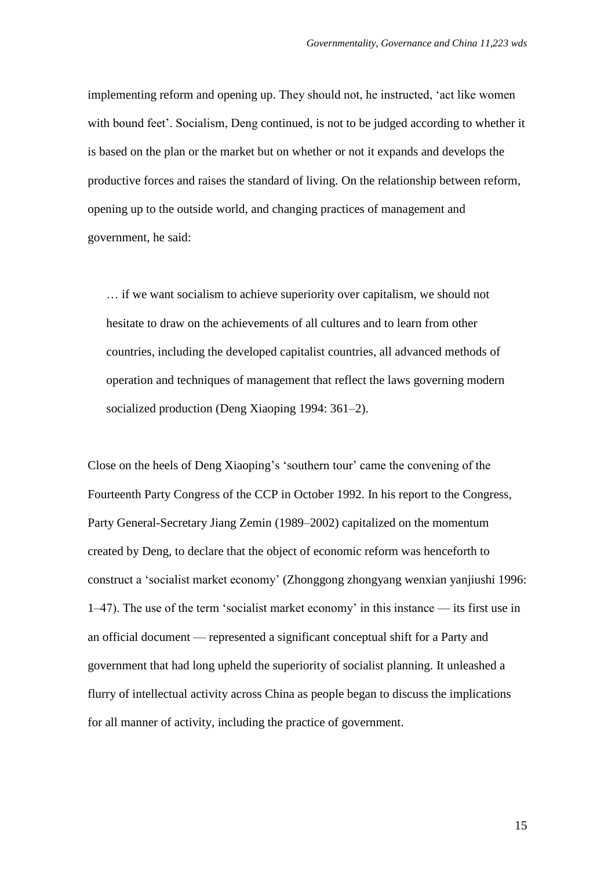implementing reform and opening up. They should not, he instructed, 'act like women with bound feet'. Socialism, Deng continued, is not to be judged according to whether it is based on the plan or the market but on whether or not it expands and develops the productive forces and raises the standard of living. On the relationship between reform, opening up to the outside world, and changing practices of management and government, he said:

… if we want socialism to achieve superiority over capitalism, we should not hesitate to draw on the achievements of all cultures and to learn from other countries, including the developed capitalist countries, all advanced methods of operation and techniques of management that reflect the laws governing modern socialized production (Deng Xiaoping 1994: 361–2).

Close on the heels of Deng Xiaoping's 'southern tour' came the convening of the Fourteenth Party Congress of the CCP in October 1992. In his report to the Congress, Party General-Secretary Jiang Zemin (1989–2002) capitalized on the momentum created by Deng, to declare that the object of economic reform was henceforth to construct a 'socialist market economy' (Zhonggong zhongyang wenxian yanjiushi 1996: 1–47). The use of the term 'socialist market economy' in this instance — its first use in an official document — represented a significant conceptual shift for a Party and government that had long upheld the superiority of socialist planning. It unleashed a flurry of intellectual activity across China as people began to discuss the implications for all manner of activity, including the practice of government.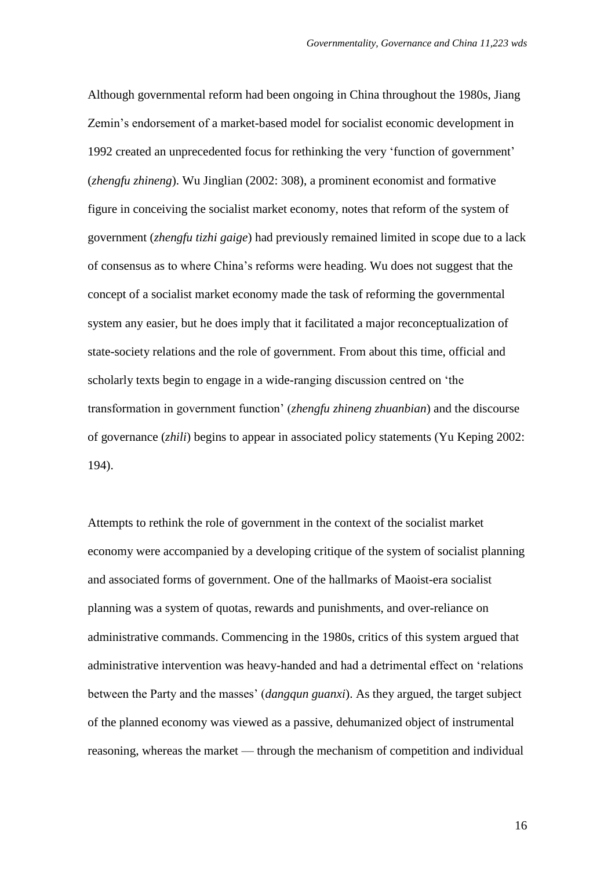Although governmental reform had been ongoing in China throughout the 1980s, Jiang Zemin's endorsement of a market-based model for socialist economic development in 1992 created an unprecedented focus for rethinking the very 'function of government' (*zhengfu zhineng*). Wu Jinglian (2002: 308), a prominent economist and formative figure in conceiving the socialist market economy, notes that reform of the system of government (*zhengfu tizhi gaige*) had previously remained limited in scope due to a lack of consensus as to where China's reforms were heading. Wu does not suggest that the concept of a socialist market economy made the task of reforming the governmental system any easier, but he does imply that it facilitated a major reconceptualization of state-society relations and the role of government. From about this time, official and scholarly texts begin to engage in a wide-ranging discussion centred on 'the transformation in government function' (*zhengfu zhineng zhuanbian*) and the discourse of governance (*zhili*) begins to appear in associated policy statements (Yu Keping 2002: 194).

Attempts to rethink the role of government in the context of the socialist market economy were accompanied by a developing critique of the system of socialist planning and associated forms of government. One of the hallmarks of Maoist-era socialist planning was a system of quotas, rewards and punishments, and over-reliance on administrative commands. Commencing in the 1980s, critics of this system argued that administrative intervention was heavy-handed and had a detrimental effect on 'relations between the Party and the masses' (*dangqun guanxi*). As they argued, the target subject of the planned economy was viewed as a passive, dehumanized object of instrumental reasoning, whereas the market — through the mechanism of competition and individual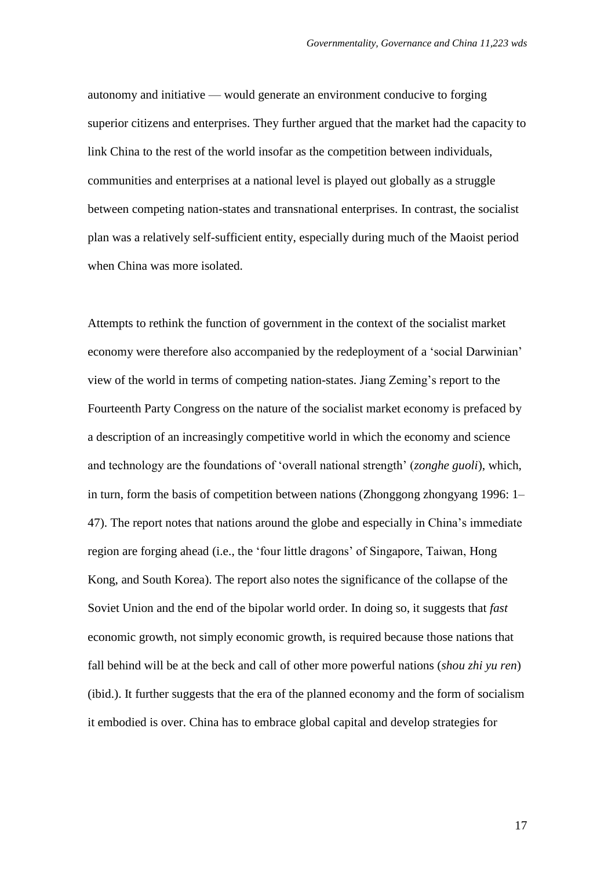autonomy and initiative — would generate an environment conducive to forging superior citizens and enterprises. They further argued that the market had the capacity to link China to the rest of the world insofar as the competition between individuals, communities and enterprises at a national level is played out globally as a struggle between competing nation-states and transnational enterprises. In contrast, the socialist plan was a relatively self-sufficient entity, especially during much of the Maoist period when China was more isolated.

Attempts to rethink the function of government in the context of the socialist market economy were therefore also accompanied by the redeployment of a 'social Darwinian' view of the world in terms of competing nation-states. Jiang Zeming's report to the Fourteenth Party Congress on the nature of the socialist market economy is prefaced by a description of an increasingly competitive world in which the economy and science and technology are the foundations of 'overall national strength' (*zonghe guoli*), which, in turn, form the basis of competition between nations (Zhonggong zhongyang 1996: 1– 47). The report notes that nations around the globe and especially in China's immediate region are forging ahead (i.e., the 'four little dragons' of Singapore, Taiwan, Hong Kong, and South Korea). The report also notes the significance of the collapse of the Soviet Union and the end of the bipolar world order. In doing so, it suggests that *fast* economic growth, not simply economic growth, is required because those nations that fall behind will be at the beck and call of other more powerful nations (*shou zhi yu ren*) (ibid.). It further suggests that the era of the planned economy and the form of socialism it embodied is over. China has to embrace global capital and develop strategies for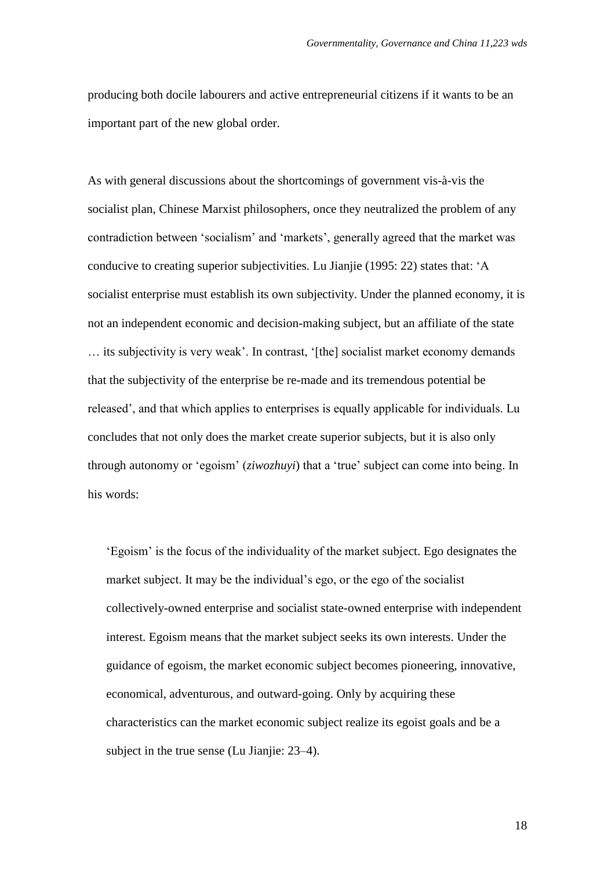producing both docile labourers and active entrepreneurial citizens if it wants to be an important part of the new global order.

As with general discussions about the shortcomings of government vis-à-vis the socialist plan, Chinese Marxist philosophers, once they neutralized the problem of any contradiction between 'socialism' and 'markets', generally agreed that the market was conducive to creating superior subjectivities. Lu Jianjie (1995: 22) states that: 'A socialist enterprise must establish its own subjectivity. Under the planned economy, it is not an independent economic and decision-making subject, but an affiliate of the state … its subjectivity is very weak'. In contrast, '[the] socialist market economy demands that the subjectivity of the enterprise be re-made and its tremendous potential be released', and that which applies to enterprises is equally applicable for individuals. Lu concludes that not only does the market create superior subjects, but it is also only through autonomy or 'egoism' (*ziwozhuyi*) that a 'true' subject can come into being. In his words:

'Egoism' is the focus of the individuality of the market subject. Ego designates the market subject. It may be the individual's ego, or the ego of the socialist collectively-owned enterprise and socialist state-owned enterprise with independent interest. Egoism means that the market subject seeks its own interests. Under the guidance of egoism, the market economic subject becomes pioneering, innovative, economical, adventurous, and outward-going. Only by acquiring these characteristics can the market economic subject realize its egoist goals and be a subject in the true sense (Lu Jianjie: 23–4).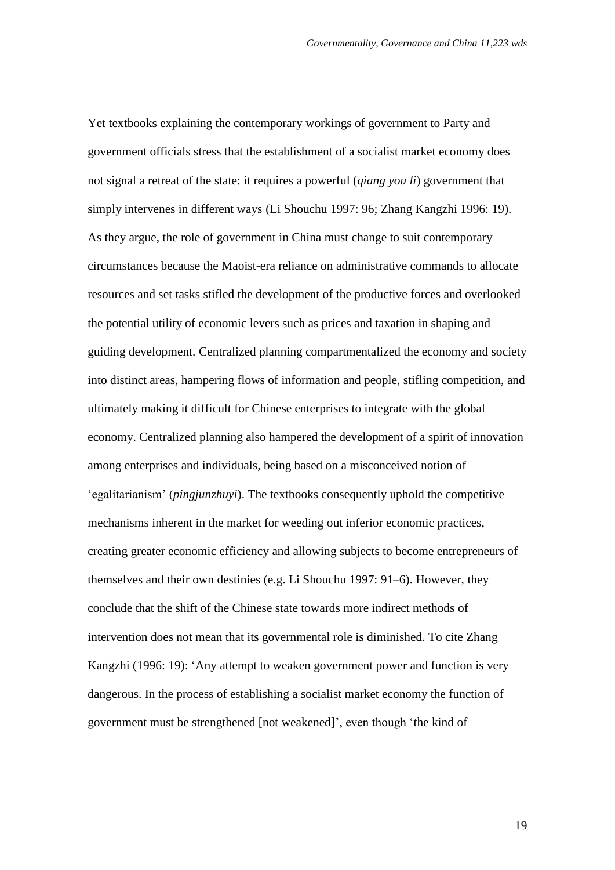Yet textbooks explaining the contemporary workings of government to Party and government officials stress that the establishment of a socialist market economy does not signal a retreat of the state: it requires a powerful (*qiang you li*) government that simply intervenes in different ways (Li Shouchu 1997: 96; Zhang Kangzhi 1996: 19). As they argue, the role of government in China must change to suit contemporary circumstances because the Maoist-era reliance on administrative commands to allocate resources and set tasks stifled the development of the productive forces and overlooked the potential utility of economic levers such as prices and taxation in shaping and guiding development. Centralized planning compartmentalized the economy and society into distinct areas, hampering flows of information and people, stifling competition, and ultimately making it difficult for Chinese enterprises to integrate with the global economy. Centralized planning also hampered the development of a spirit of innovation among enterprises and individuals, being based on a misconceived notion of 'egalitarianism' (*pingjunzhuyi*). The textbooks consequently uphold the competitive mechanisms inherent in the market for weeding out inferior economic practices, creating greater economic efficiency and allowing subjects to become entrepreneurs of themselves and their own destinies (e.g. Li Shouchu 1997: 91–6). However, they conclude that the shift of the Chinese state towards more indirect methods of intervention does not mean that its governmental role is diminished. To cite Zhang Kangzhi (1996: 19): 'Any attempt to weaken government power and function is very dangerous. In the process of establishing a socialist market economy the function of government must be strengthened [not weakened]', even though 'the kind of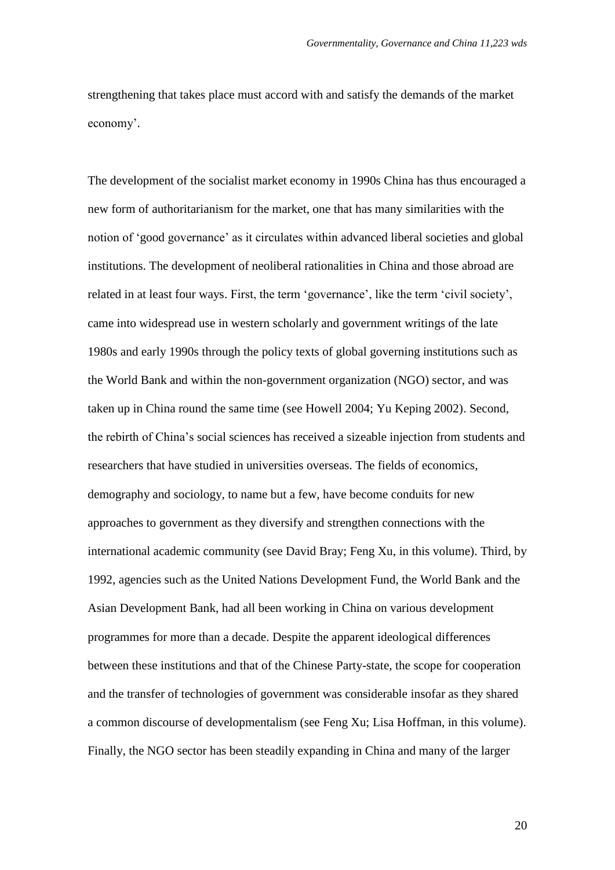strengthening that takes place must accord with and satisfy the demands of the market economy'.

The development of the socialist market economy in 1990s China has thus encouraged a new form of authoritarianism for the market, one that has many similarities with the notion of 'good governance' as it circulates within advanced liberal societies and global institutions. The development of neoliberal rationalities in China and those abroad are related in at least four ways. First, the term 'governance', like the term 'civil society', came into widespread use in western scholarly and government writings of the late 1980s and early 1990s through the policy texts of global governing institutions such as the World Bank and within the non-government organization (NGO) sector, and was taken up in China round the same time (see Howell 2004; Yu Keping 2002). Second, the rebirth of China's social sciences has received a sizeable injection from students and researchers that have studied in universities overseas. The fields of economics, demography and sociology, to name but a few, have become conduits for new approaches to government as they diversify and strengthen connections with the international academic community (see David Bray; Feng Xu, in this volume). Third, by 1992, agencies such as the United Nations Development Fund, the World Bank and the Asian Development Bank, had all been working in China on various development programmes for more than a decade. Despite the apparent ideological differences between these institutions and that of the Chinese Party-state, the scope for cooperation and the transfer of technologies of government was considerable insofar as they shared a common discourse of developmentalism (see Feng Xu; Lisa Hoffman, in this volume). Finally, the NGO sector has been steadily expanding in China and many of the larger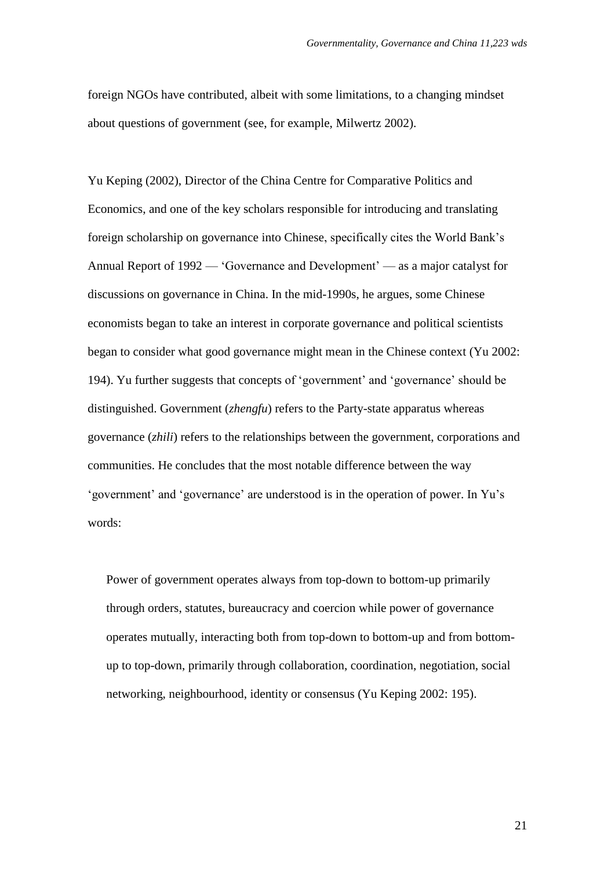foreign NGOs have contributed, albeit with some limitations, to a changing mindset about questions of government (see, for example, Milwertz 2002).

Yu Keping (2002), Director of the China Centre for Comparative Politics and Economics, and one of the key scholars responsible for introducing and translating foreign scholarship on governance into Chinese, specifically cites the World Bank's Annual Report of 1992 — 'Governance and Development' — as a major catalyst for discussions on governance in China. In the mid-1990s, he argues, some Chinese economists began to take an interest in corporate governance and political scientists began to consider what good governance might mean in the Chinese context (Yu 2002: 194). Yu further suggests that concepts of 'government' and 'governance' should be distinguished. Government (*zhengfu*) refers to the Party-state apparatus whereas governance (*zhili*) refers to the relationships between the government, corporations and communities. He concludes that the most notable difference between the way 'government' and 'governance' are understood is in the operation of power. In Yu's words:

Power of government operates always from top-down to bottom-up primarily through orders, statutes, bureaucracy and coercion while power of governance operates mutually, interacting both from top-down to bottom-up and from bottomup to top-down, primarily through collaboration, coordination, negotiation, social networking, neighbourhood, identity or consensus (Yu Keping 2002: 195).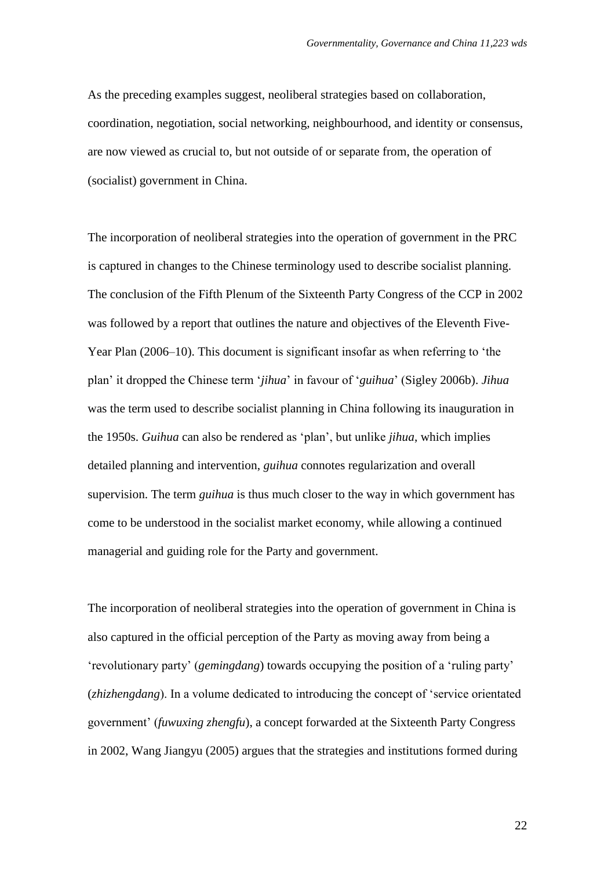As the preceding examples suggest, neoliberal strategies based on collaboration, coordination, negotiation, social networking, neighbourhood, and identity or consensus, are now viewed as crucial to, but not outside of or separate from, the operation of (socialist) government in China.

The incorporation of neoliberal strategies into the operation of government in the PRC is captured in changes to the Chinese terminology used to describe socialist planning. The conclusion of the Fifth Plenum of the Sixteenth Party Congress of the CCP in 2002 was followed by a report that outlines the nature and objectives of the Eleventh Five-Year Plan (2006–10). This document is significant insofar as when referring to 'the plan' it dropped the Chinese term '*jihua*' in favour of '*guihua*' (Sigley 2006b). *Jihua* was the term used to describe socialist planning in China following its inauguration in the 1950s. *Guihua* can also be rendered as 'plan', but unlike *jihua*, which implies detailed planning and intervention, *guihua* connotes regularization and overall supervision. The term *guihua* is thus much closer to the way in which government has come to be understood in the socialist market economy, while allowing a continued managerial and guiding role for the Party and government.

The incorporation of neoliberal strategies into the operation of government in China is also captured in the official perception of the Party as moving away from being a 'revolutionary party' (*gemingdang*) towards occupying the position of a 'ruling party' (*zhizhengdang*). In a volume dedicated to introducing the concept of 'service orientated government' (*fuwuxing zhengfu*), a concept forwarded at the Sixteenth Party Congress in 2002, Wang Jiangyu (2005) argues that the strategies and institutions formed during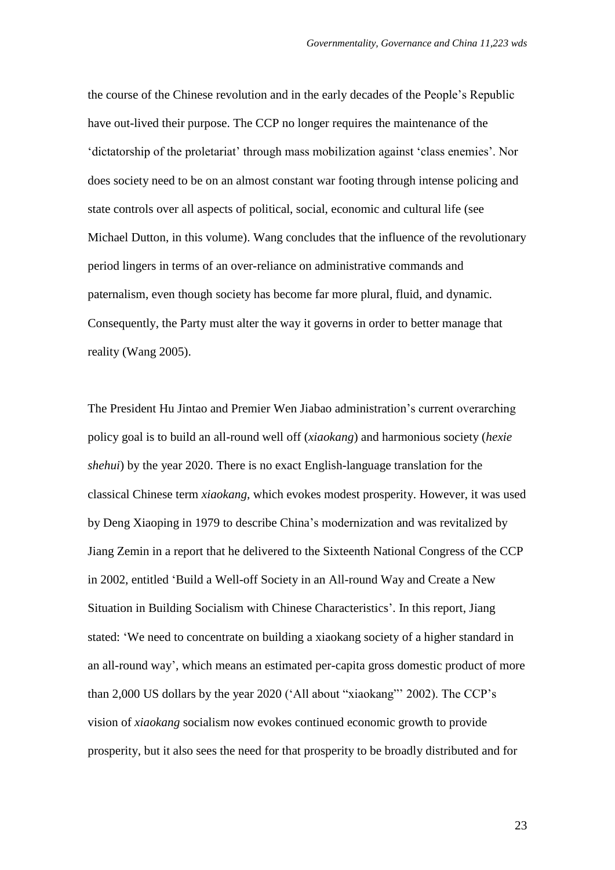the course of the Chinese revolution and in the early decades of the People's Republic have out-lived their purpose. The CCP no longer requires the maintenance of the 'dictatorship of the proletariat' through mass mobilization against 'class enemies'. Nor does society need to be on an almost constant war footing through intense policing and state controls over all aspects of political, social, economic and cultural life (see Michael Dutton, in this volume). Wang concludes that the influence of the revolutionary period lingers in terms of an over-reliance on administrative commands and paternalism, even though society has become far more plural, fluid, and dynamic. Consequently, the Party must alter the way it governs in order to better manage that reality (Wang 2005).

The President Hu Jintao and Premier Wen Jiabao administration's current overarching policy goal is to build an all-round well off (*xiaokang*) and harmonious society (*hexie shehui*) by the year 2020. There is no exact English-language translation for the classical Chinese term *xiaokang*, which evokes modest prosperity. However, it was used by Deng Xiaoping in 1979 to describe China's modernization and was revitalized by Jiang Zemin in a report that he delivered to the Sixteenth National Congress of the CCP in 2002, entitled 'Build a Well-off Society in an All-round Way and Create a New Situation in Building Socialism with Chinese Characteristics'. In this report, Jiang stated: 'We need to concentrate on building a xiaokang society of a higher standard in an all-round way', which means an estimated per-capita gross domestic product of more than 2,000 US dollars by the year 2020 ('All about "xiaokang"' 2002). The CCP's vision of *xiaokang* socialism now evokes continued economic growth to provide prosperity, but it also sees the need for that prosperity to be broadly distributed and for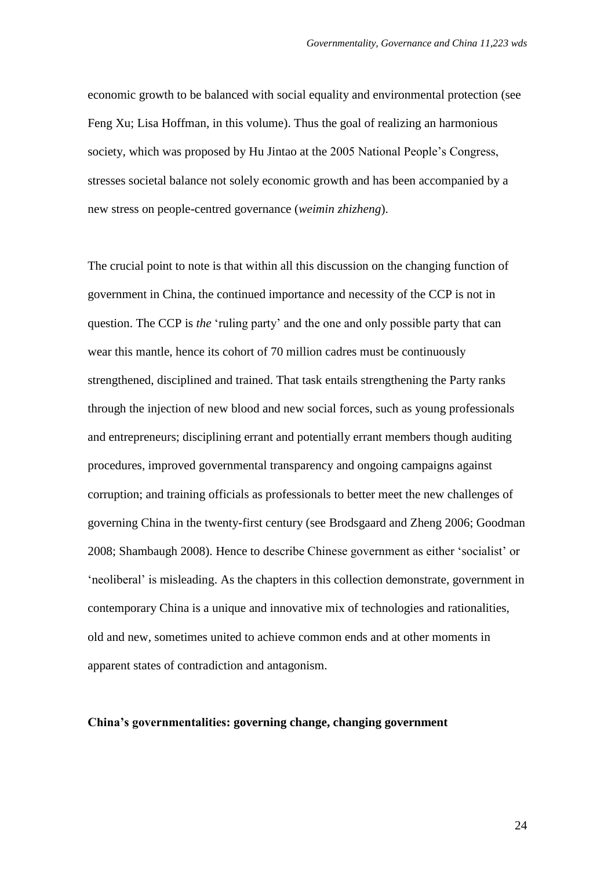economic growth to be balanced with social equality and environmental protection (see Feng Xu; Lisa Hoffman, in this volume). Thus the goal of realizing an harmonious society, which was proposed by Hu Jintao at the 2005 National People's Congress, stresses societal balance not solely economic growth and has been accompanied by a new stress on people-centred governance (*weimin zhizheng*).

The crucial point to note is that within all this discussion on the changing function of government in China, the continued importance and necessity of the CCP is not in question. The CCP is *the* 'ruling party' and the one and only possible party that can wear this mantle, hence its cohort of 70 million cadres must be continuously strengthened, disciplined and trained. That task entails strengthening the Party ranks through the injection of new blood and new social forces, such as young professionals and entrepreneurs; disciplining errant and potentially errant members though auditing procedures, improved governmental transparency and ongoing campaigns against corruption; and training officials as professionals to better meet the new challenges of governing China in the twenty-first century (see Brodsgaard and Zheng 2006; Goodman 2008; Shambaugh 2008). Hence to describe Chinese government as either 'socialist' or 'neoliberal' is misleading. As the chapters in this collection demonstrate, government in contemporary China is a unique and innovative mix of technologies and rationalities, old and new, sometimes united to achieve common ends and at other moments in apparent states of contradiction and antagonism.

### **China's governmentalities: governing change, changing government**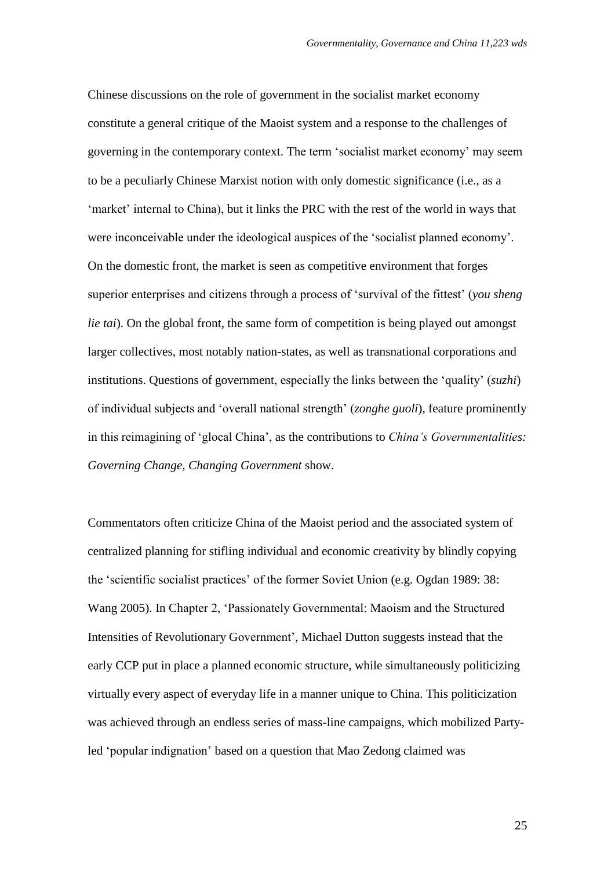Chinese discussions on the role of government in the socialist market economy constitute a general critique of the Maoist system and a response to the challenges of governing in the contemporary context. The term 'socialist market economy' may seem to be a peculiarly Chinese Marxist notion with only domestic significance (i.e., as a 'market' internal to China), but it links the PRC with the rest of the world in ways that were inconceivable under the ideological auspices of the 'socialist planned economy'. On the domestic front, the market is seen as competitive environment that forges superior enterprises and citizens through a process of 'survival of the fittest' (*you sheng lie tai*). On the global front, the same form of competition is being played out amongst larger collectives, most notably nation-states, as well as transnational corporations and institutions. Questions of government, especially the links between the 'quality' (*suzhi*) of individual subjects and 'overall national strength' (*zonghe guoli*), feature prominently in this reimagining of 'glocal China', as the contributions to *China's Governmentalities: Governing Change, Changing Government* show.

Commentators often criticize China of the Maoist period and the associated system of centralized planning for stifling individual and economic creativity by blindly copying the 'scientific socialist practices' of the former Soviet Union (e.g. Ogdan 1989: 38: Wang 2005). In Chapter 2, 'Passionately Governmental: Maoism and the Structured Intensities of Revolutionary Government', Michael Dutton suggests instead that the early CCP put in place a planned economic structure, while simultaneously politicizing virtually every aspect of everyday life in a manner unique to China. This politicization was achieved through an endless series of mass-line campaigns, which mobilized Partyled 'popular indignation' based on a question that Mao Zedong claimed was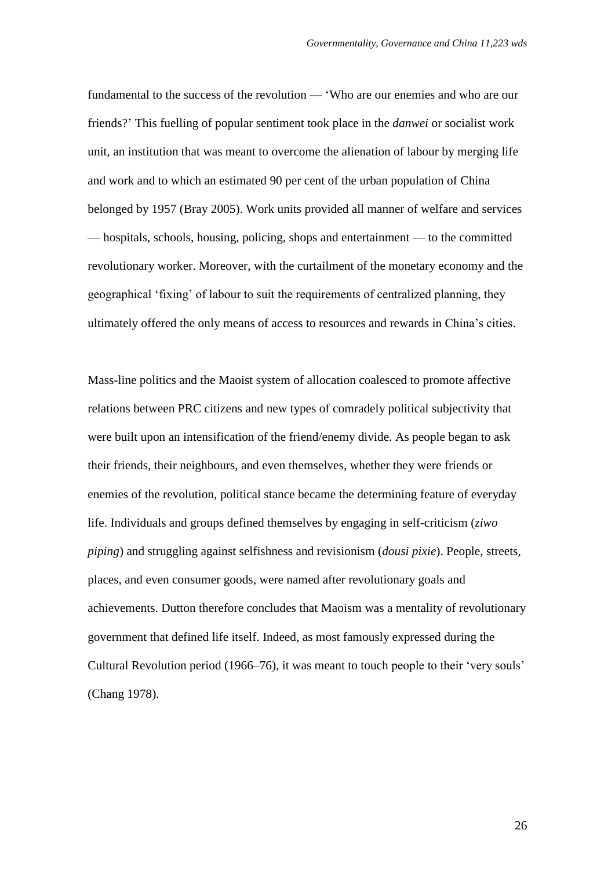fundamental to the success of the revolution — 'Who are our enemies and who are our friends?' This fuelling of popular sentiment took place in the *danwei* or socialist work unit, an institution that was meant to overcome the alienation of labour by merging life and work and to which an estimated 90 per cent of the urban population of China belonged by 1957 (Bray 2005). Work units provided all manner of welfare and services — hospitals, schools, housing, policing, shops and entertainment — to the committed revolutionary worker. Moreover, with the curtailment of the monetary economy and the geographical 'fixing' of labour to suit the requirements of centralized planning, they ultimately offered the only means of access to resources and rewards in China's cities.

Mass-line politics and the Maoist system of allocation coalesced to promote affective relations between PRC citizens and new types of comradely political subjectivity that were built upon an intensification of the friend/enemy divide. As people began to ask their friends, their neighbours, and even themselves, whether they were friends or enemies of the revolution, political stance became the determining feature of everyday life. Individuals and groups defined themselves by engaging in self-criticism (*ziwo piping*) and struggling against selfishness and revisionism (*dousi pixie*). People, streets, places, and even consumer goods, were named after revolutionary goals and achievements. Dutton therefore concludes that Maoism was a mentality of revolutionary government that defined life itself. Indeed, as most famously expressed during the Cultural Revolution period (1966–76), it was meant to touch people to their 'very souls' (Chang 1978).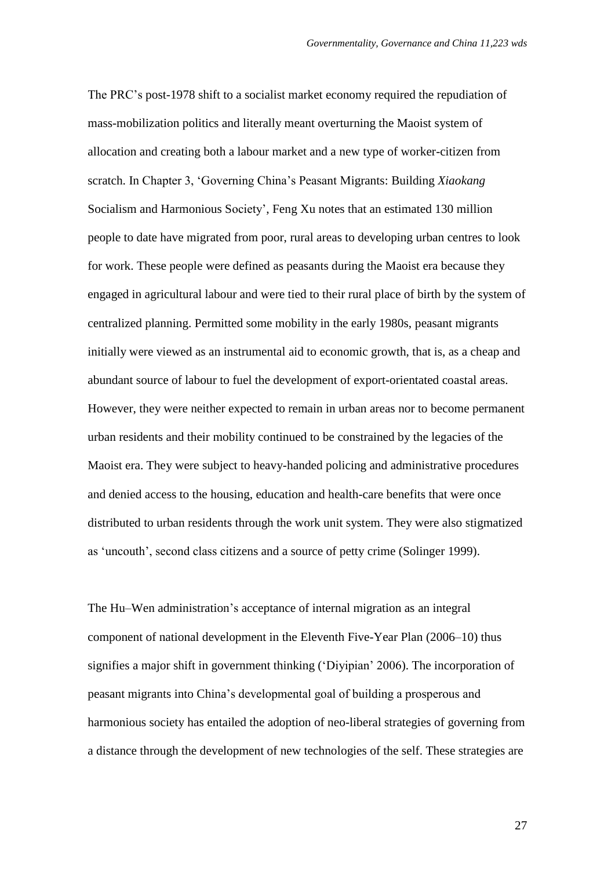The PRC's post-1978 shift to a socialist market economy required the repudiation of mass-mobilization politics and literally meant overturning the Maoist system of allocation and creating both a labour market and a new type of worker-citizen from scratch. In Chapter 3, 'Governing China's Peasant Migrants: Building *Xiaokang* Socialism and Harmonious Society', Feng Xu notes that an estimated 130 million people to date have migrated from poor, rural areas to developing urban centres to look for work. These people were defined as peasants during the Maoist era because they engaged in agricultural labour and were tied to their rural place of birth by the system of centralized planning. Permitted some mobility in the early 1980s, peasant migrants initially were viewed as an instrumental aid to economic growth, that is, as a cheap and abundant source of labour to fuel the development of export-orientated coastal areas. However, they were neither expected to remain in urban areas nor to become permanent urban residents and their mobility continued to be constrained by the legacies of the Maoist era. They were subject to heavy-handed policing and administrative procedures and denied access to the housing, education and health-care benefits that were once distributed to urban residents through the work unit system. They were also stigmatized as 'uncouth', second class citizens and a source of petty crime (Solinger 1999).

The Hu–Wen administration's acceptance of internal migration as an integral component of national development in the Eleventh Five-Year Plan (2006–10) thus signifies a major shift in government thinking ('Diyipian' 2006). The incorporation of peasant migrants into China's developmental goal of building a prosperous and harmonious society has entailed the adoption of neo-liberal strategies of governing from a distance through the development of new technologies of the self. These strategies are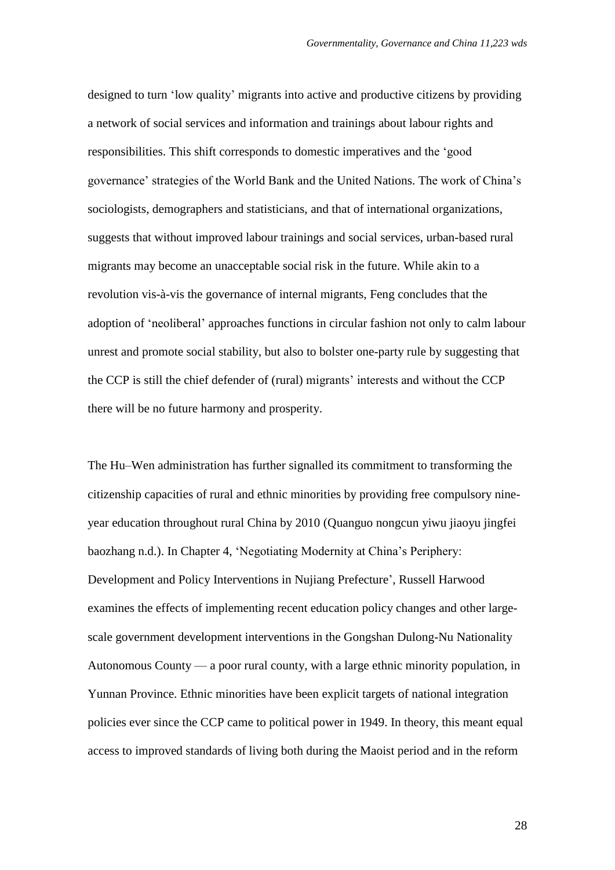designed to turn 'low quality' migrants into active and productive citizens by providing a network of social services and information and trainings about labour rights and responsibilities. This shift corresponds to domestic imperatives and the 'good governance' strategies of the World Bank and the United Nations. The work of China's sociologists, demographers and statisticians, and that of international organizations, suggests that without improved labour trainings and social services, urban-based rural migrants may become an unacceptable social risk in the future. While akin to a revolution vis-à-vis the governance of internal migrants, Feng concludes that the adoption of 'neoliberal' approaches functions in circular fashion not only to calm labour unrest and promote social stability, but also to bolster one-party rule by suggesting that the CCP is still the chief defender of (rural) migrants' interests and without the CCP there will be no future harmony and prosperity.

The Hu–Wen administration has further signalled its commitment to transforming the citizenship capacities of rural and ethnic minorities by providing free compulsory nineyear education throughout rural China by 2010 (Quanguo nongcun yiwu jiaoyu jingfei baozhang n.d.). In Chapter 4, 'Negotiating Modernity at China's Periphery: Development and Policy Interventions in Nujiang Prefecture', Russell Harwood examines the effects of implementing recent education policy changes and other largescale government development interventions in the Gongshan Dulong-Nu Nationality Autonomous County — a poor rural county, with a large ethnic minority population, in Yunnan Province. Ethnic minorities have been explicit targets of national integration policies ever since the CCP came to political power in 1949. In theory, this meant equal access to improved standards of living both during the Maoist period and in the reform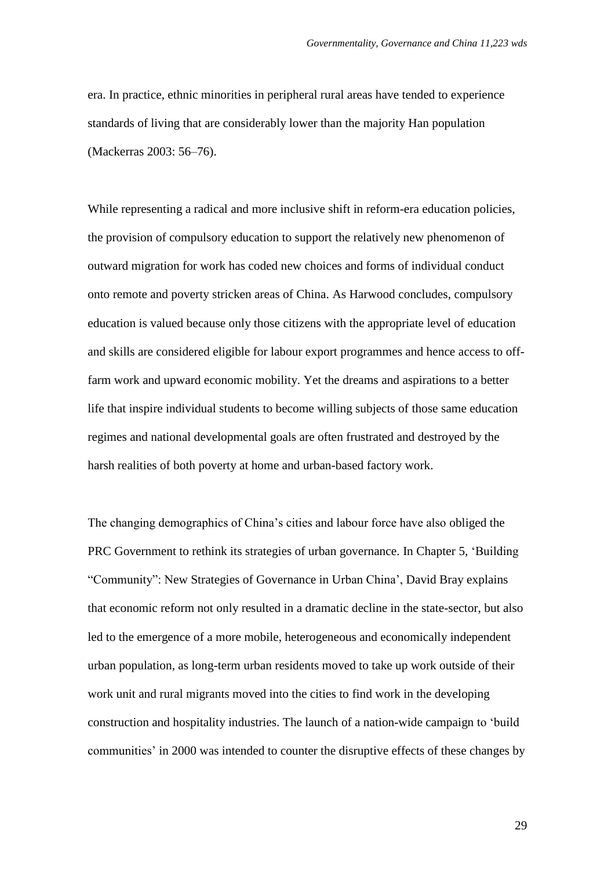era. In practice, ethnic minorities in peripheral rural areas have tended to experience standards of living that are considerably lower than the majority Han population (Mackerras 2003: 56–76).

While representing a radical and more inclusive shift in reform-era education policies, the provision of compulsory education to support the relatively new phenomenon of outward migration for work has coded new choices and forms of individual conduct onto remote and poverty stricken areas of China. As Harwood concludes, compulsory education is valued because only those citizens with the appropriate level of education and skills are considered eligible for labour export programmes and hence access to offfarm work and upward economic mobility. Yet the dreams and aspirations to a better life that inspire individual students to become willing subjects of those same education regimes and national developmental goals are often frustrated and destroyed by the harsh realities of both poverty at home and urban-based factory work.

The changing demographics of China's cities and labour force have also obliged the PRC Government to rethink its strategies of urban governance. In Chapter 5, 'Building "Community": New Strategies of Governance in Urban China', David Bray explains that economic reform not only resulted in a dramatic decline in the state-sector, but also led to the emergence of a more mobile, heterogeneous and economically independent urban population, as long-term urban residents moved to take up work outside of their work unit and rural migrants moved into the cities to find work in the developing construction and hospitality industries. The launch of a nation-wide campaign to 'build communities' in 2000 was intended to counter the disruptive effects of these changes by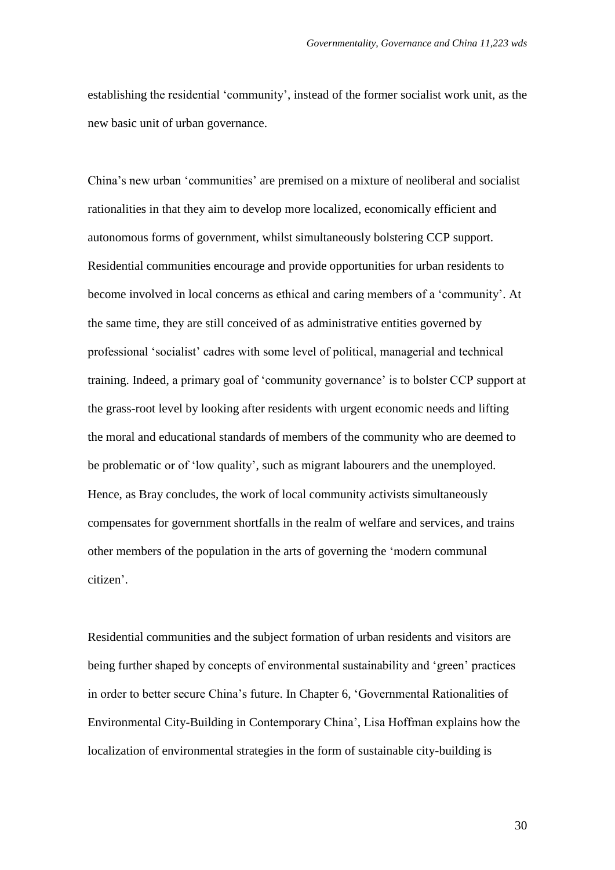establishing the residential 'community', instead of the former socialist work unit, as the new basic unit of urban governance.

China's new urban 'communities' are premised on a mixture of neoliberal and socialist rationalities in that they aim to develop more localized, economically efficient and autonomous forms of government, whilst simultaneously bolstering CCP support. Residential communities encourage and provide opportunities for urban residents to become involved in local concerns as ethical and caring members of a 'community'. At the same time, they are still conceived of as administrative entities governed by professional 'socialist' cadres with some level of political, managerial and technical training. Indeed, a primary goal of 'community governance' is to bolster CCP support at the grass-root level by looking after residents with urgent economic needs and lifting the moral and educational standards of members of the community who are deemed to be problematic or of 'low quality', such as migrant labourers and the unemployed. Hence, as Bray concludes, the work of local community activists simultaneously compensates for government shortfalls in the realm of welfare and services, and trains other members of the population in the arts of governing the 'modern communal citizen'.

Residential communities and the subject formation of urban residents and visitors are being further shaped by concepts of environmental sustainability and 'green' practices in order to better secure China's future. In Chapter 6, 'Governmental Rationalities of Environmental City-Building in Contemporary China', Lisa Hoffman explains how the localization of environmental strategies in the form of sustainable city-building is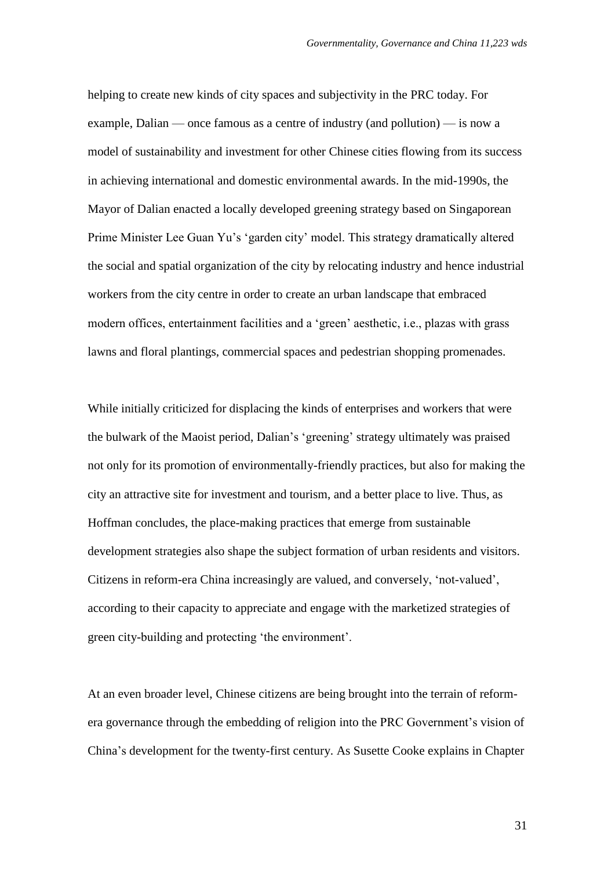helping to create new kinds of city spaces and subjectivity in the PRC today. For example, Dalian — once famous as a centre of industry (and pollution) — is now a model of sustainability and investment for other Chinese cities flowing from its success in achieving international and domestic environmental awards. In the mid-1990s, the Mayor of Dalian enacted a locally developed greening strategy based on Singaporean Prime Minister Lee Guan Yu's 'garden city' model. This strategy dramatically altered the social and spatial organization of the city by relocating industry and hence industrial workers from the city centre in order to create an urban landscape that embraced modern offices, entertainment facilities and a 'green' aesthetic, i.e., plazas with grass lawns and floral plantings, commercial spaces and pedestrian shopping promenades.

While initially criticized for displacing the kinds of enterprises and workers that were the bulwark of the Maoist period, Dalian's 'greening' strategy ultimately was praised not only for its promotion of environmentally-friendly practices, but also for making the city an attractive site for investment and tourism, and a better place to live. Thus, as Hoffman concludes, the place-making practices that emerge from sustainable development strategies also shape the subject formation of urban residents and visitors. Citizens in reform-era China increasingly are valued, and conversely, 'not-valued', according to their capacity to appreciate and engage with the marketized strategies of green city-building and protecting 'the environment'.

At an even broader level, Chinese citizens are being brought into the terrain of reformera governance through the embedding of religion into the PRC Government's vision of China's development for the twenty-first century. As Susette Cooke explains in Chapter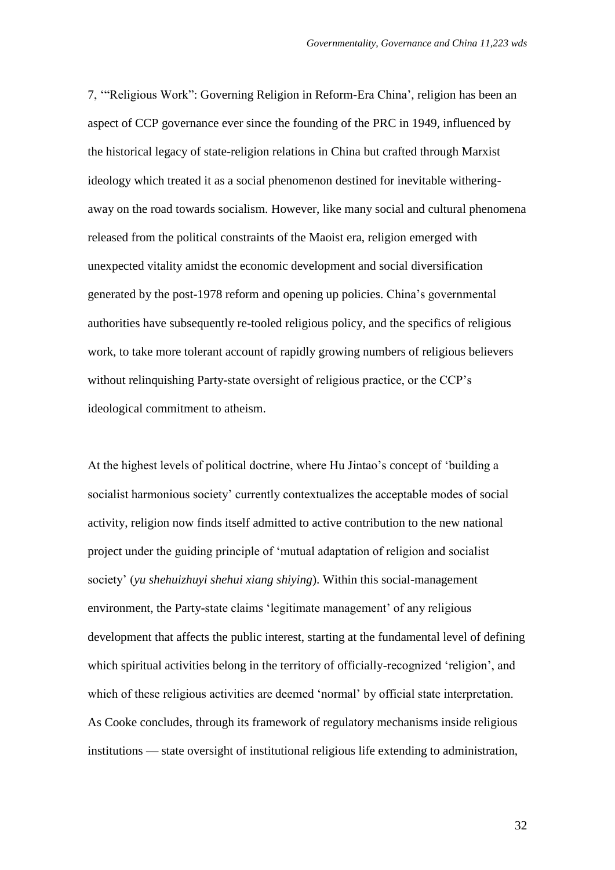7, '"Religious Work": Governing Religion in Reform-Era China', religion has been an aspect of CCP governance ever since the founding of the PRC in 1949, influenced by the historical legacy of state-religion relations in China but crafted through Marxist ideology which treated it as a social phenomenon destined for inevitable witheringaway on the road towards socialism. However, like many social and cultural phenomena released from the political constraints of the Maoist era, religion emerged with unexpected vitality amidst the economic development and social diversification generated by the post-1978 reform and opening up policies. China's governmental authorities have subsequently re-tooled religious policy, and the specifics of religious work, to take more tolerant account of rapidly growing numbers of religious believers without relinquishing Party-state oversight of religious practice, or the CCP's ideological commitment to atheism.

At the highest levels of political doctrine, where Hu Jintao's concept of 'building a socialist harmonious society' currently contextualizes the acceptable modes of social activity, religion now finds itself admitted to active contribution to the new national project under the guiding principle of 'mutual adaptation of religion and socialist society' (*yu shehuizhuyi shehui xiang shiying*). Within this social-management environment, the Party-state claims 'legitimate management' of any religious development that affects the public interest, starting at the fundamental level of defining which spiritual activities belong in the territory of officially-recognized 'religion', and which of these religious activities are deemed 'normal' by official state interpretation. As Cooke concludes, through its framework of regulatory mechanisms inside religious institutions — state oversight of institutional religious life extending to administration,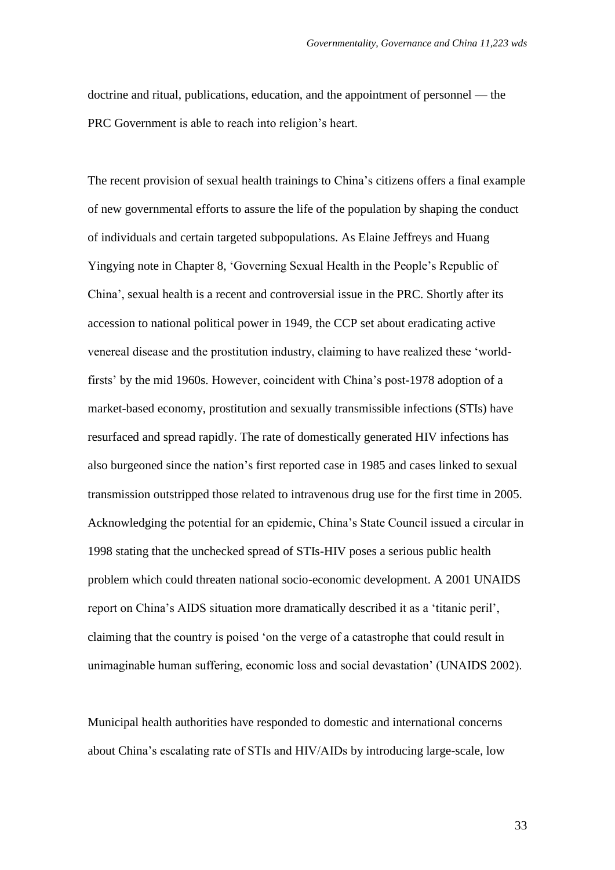doctrine and ritual, publications, education, and the appointment of personnel — the PRC Government is able to reach into religion's heart.

The recent provision of sexual health trainings to China's citizens offers a final example of new governmental efforts to assure the life of the population by shaping the conduct of individuals and certain targeted subpopulations. As Elaine Jeffreys and Huang Yingying note in Chapter 8, 'Governing Sexual Health in the People's Republic of China', sexual health is a recent and controversial issue in the PRC. Shortly after its accession to national political power in 1949, the CCP set about eradicating active venereal disease and the prostitution industry, claiming to have realized these 'worldfirsts' by the mid 1960s. However, coincident with China's post-1978 adoption of a market-based economy, prostitution and sexually transmissible infections (STIs) have resurfaced and spread rapidly. The rate of domestically generated HIV infections has also burgeoned since the nation's first reported case in 1985 and cases linked to sexual transmission outstripped those related to intravenous drug use for the first time in 2005. Acknowledging the potential for an epidemic, China's State Council issued a circular in 1998 stating that the unchecked spread of STIs-HIV poses a serious public health problem which could threaten national socio-economic development. A 2001 UNAIDS report on China's AIDS situation more dramatically described it as a 'titanic peril', claiming that the country is poised 'on the verge of a catastrophe that could result in unimaginable human suffering, economic loss and social devastation' (UNAIDS 2002).

Municipal health authorities have responded to domestic and international concerns about China's escalating rate of STIs and HIV/AIDs by introducing large-scale, low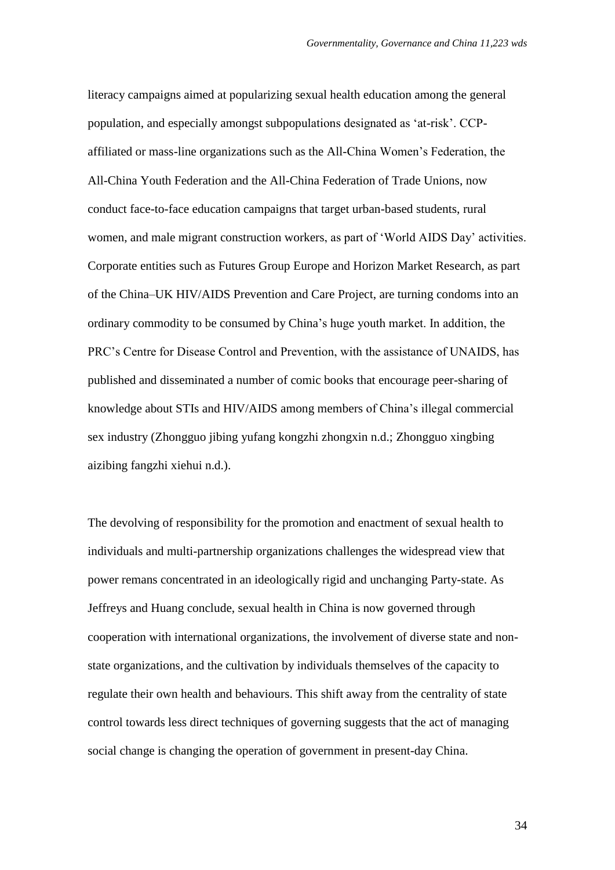literacy campaigns aimed at popularizing sexual health education among the general population, and especially amongst subpopulations designated as 'at-risk'. CCPaffiliated or mass-line organizations such as the All-China Women's Federation, the All-China Youth Federation and the All-China Federation of Trade Unions, now conduct face-to-face education campaigns that target urban-based students, rural women, and male migrant construction workers, as part of 'World AIDS Day' activities. Corporate entities such as Futures Group Europe and Horizon Market Research, as part of the China–UK HIV/AIDS Prevention and Care Project, are turning condoms into an ordinary commodity to be consumed by China's huge youth market. In addition, the PRC's Centre for Disease Control and Prevention, with the assistance of UNAIDS, has published and disseminated a number of comic books that encourage peer-sharing of knowledge about STIs and HIV/AIDS among members of China's illegal commercial sex industry (Zhongguo jibing yufang kongzhi zhongxin n.d.; Zhongguo xingbing aizibing fangzhi xiehui n.d.).

The devolving of responsibility for the promotion and enactment of sexual health to individuals and multi-partnership organizations challenges the widespread view that power remans concentrated in an ideologically rigid and unchanging Party-state. As Jeffreys and Huang conclude, sexual health in China is now governed through cooperation with international organizations, the involvement of diverse state and nonstate organizations, and the cultivation by individuals themselves of the capacity to regulate their own health and behaviours. This shift away from the centrality of state control towards less direct techniques of governing suggests that the act of managing social change is changing the operation of government in present-day China.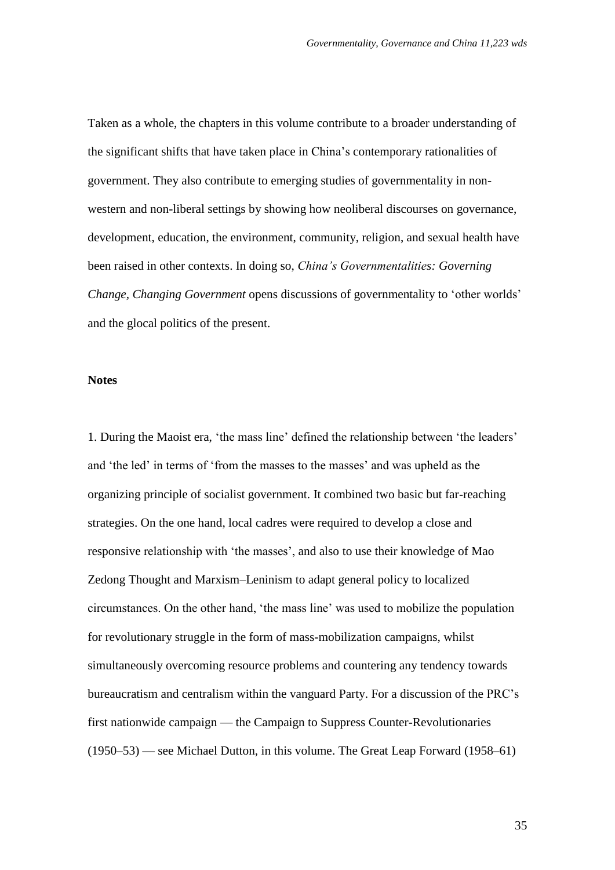Taken as a whole, the chapters in this volume contribute to a broader understanding of the significant shifts that have taken place in China's contemporary rationalities of government. They also contribute to emerging studies of governmentality in nonwestern and non-liberal settings by showing how neoliberal discourses on governance, development, education, the environment, community, religion, and sexual health have been raised in other contexts. In doing so, *China's Governmentalities: Governing Change, Changing Government* opens discussions of governmentality to 'other worlds' and the glocal politics of the present.

### **Notes**

1. During the Maoist era, 'the mass line' defined the relationship between 'the leaders' and 'the led' in terms of 'from the masses to the masses' and was upheld as the organizing principle of socialist government. It combined two basic but far-reaching strategies. On the one hand, local cadres were required to develop a close and responsive relationship with 'the masses', and also to use their knowledge of Mao Zedong Thought and Marxism–Leninism to adapt general policy to localized circumstances. On the other hand, 'the mass line' was used to mobilize the population for revolutionary struggle in the form of mass-mobilization campaigns, whilst simultaneously overcoming resource problems and countering any tendency towards bureaucratism and centralism within the vanguard Party. For a discussion of the PRC's first nationwide campaign — the Campaign to Suppress Counter-Revolutionaries (1950–53) — see Michael Dutton, in this volume. The Great Leap Forward (1958–61)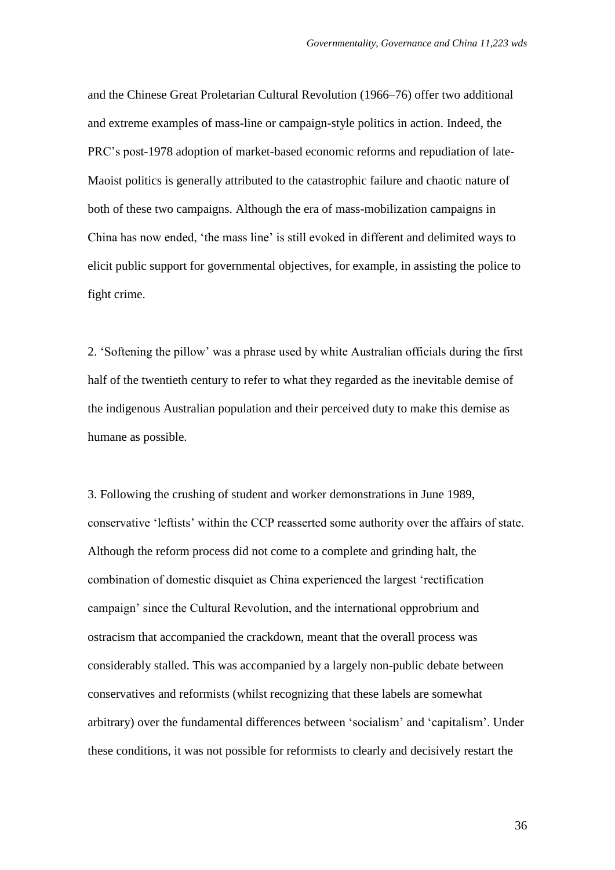and the Chinese Great Proletarian Cultural Revolution (1966–76) offer two additional and extreme examples of mass-line or campaign-style politics in action. Indeed, the PRC's post-1978 adoption of market-based economic reforms and repudiation of late-Maoist politics is generally attributed to the catastrophic failure and chaotic nature of both of these two campaigns. Although the era of mass-mobilization campaigns in China has now ended, 'the mass line' is still evoked in different and delimited ways to elicit public support for governmental objectives, for example, in assisting the police to fight crime.

2. 'Softening the pillow' was a phrase used by white Australian officials during the first half of the twentieth century to refer to what they regarded as the inevitable demise of the indigenous Australian population and their perceived duty to make this demise as humane as possible.

3. Following the crushing of student and worker demonstrations in June 1989, conservative 'leftists' within the CCP reasserted some authority over the affairs of state. Although the reform process did not come to a complete and grinding halt, the combination of domestic disquiet as China experienced the largest 'rectification campaign' since the Cultural Revolution, and the international opprobrium and ostracism that accompanied the crackdown, meant that the overall process was considerably stalled. This was accompanied by a largely non-public debate between conservatives and reformists (whilst recognizing that these labels are somewhat arbitrary) over the fundamental differences between 'socialism' and 'capitalism'. Under these conditions, it was not possible for reformists to clearly and decisively restart the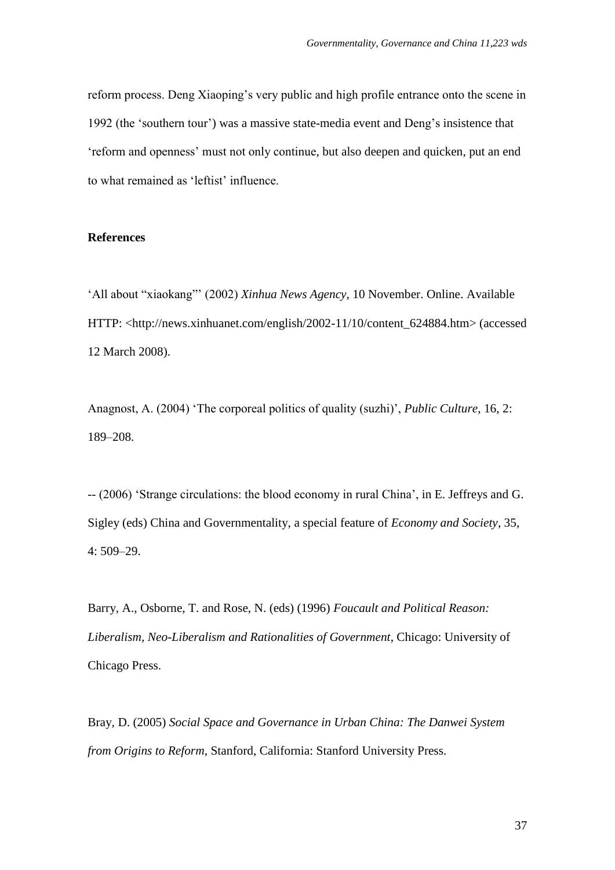reform process. Deng Xiaoping's very public and high profile entrance onto the scene in 1992 (the 'southern tour') was a massive state-media event and Deng's insistence that 'reform and openness' must not only continue, but also deepen and quicken, put an end to what remained as 'leftist' influence.

# **References**

'All about "xiaokang"' (2002) *Xinhua News Agency*, 10 November. Online. Available HTTP: <http://news.xinhuanet.com/english/2002-11/10/content\_624884.htm> (accessed 12 March 2008).

Anagnost, A. (2004) 'The corporeal politics of quality (suzhi)', *Public Culture*, 16, 2: 189–208.

-- (2006) 'Strange circulations: the blood economy in rural China', in E. Jeffreys and G. Sigley (eds) China and Governmentality, a special feature of *Economy and Society*, 35, 4: 509–29.

Barry, A., Osborne, T. and Rose, N. (eds) (1996) *Foucault and Political Reason: Liberalism, Neo-Liberalism and Rationalities of Government*, Chicago: University of Chicago Press.

Bray, D. (2005) *Social Space and Governance in Urban China: The Danwei System from Origins to Reform*, Stanford, California: Stanford University Press.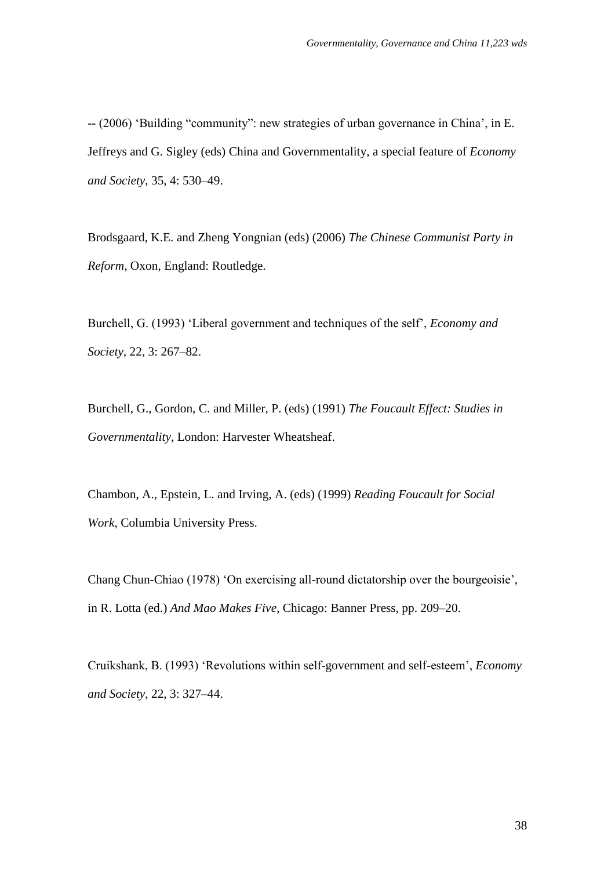-- (2006) 'Building "community": new strategies of urban governance in China', in E. Jeffreys and G. Sigley (eds) China and Governmentality, a special feature of *Economy and Society*, 35, 4: 530–49.

Brodsgaard, K.E. and Zheng Yongnian (eds) (2006) *The Chinese Communist Party in Reform*, Oxon, England: Routledge.

Burchell, G. (1993) 'Liberal government and techniques of the self', *Economy and Society*, 22, 3: 267–82.

Burchell, G., Gordon, C. and Miller, P. (eds) (1991) *The Foucault Effect: Studies in Governmentality*, London: Harvester Wheatsheaf.

Chambon, A., Epstein, L. and Irving, A. (eds) (1999) *Reading Foucault for Social Work*, Columbia University Press.

Chang Chun-Chiao (1978) 'On exercising all-round dictatorship over the bourgeoisie', in R. Lotta (ed.) *And Mao Makes Five*, Chicago: Banner Press, pp. 209–20.

Cruikshank, B. (1993) 'Revolutions within self-government and self-esteem', *Economy and Society*, 22, 3: 327–44.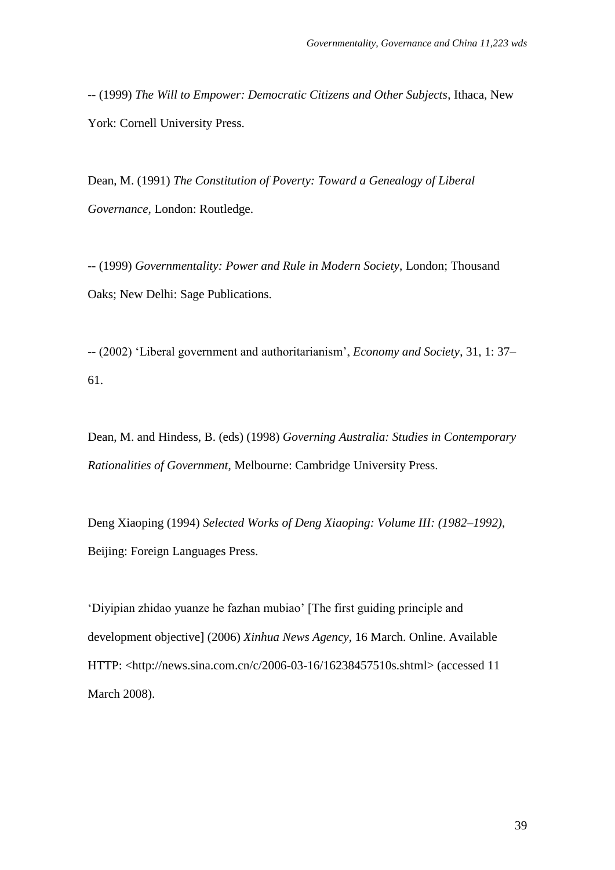-- (1999) *The Will to Empower: Democratic Citizens and Other Subjects*, Ithaca, New York: Cornell University Press.

Dean, M. (1991) *The Constitution of Poverty: Toward a Genealogy of Liberal Governance*, London: Routledge.

-- (1999) *Governmentality: Power and Rule in Modern Society*, London; Thousand Oaks; New Delhi: Sage Publications.

-- (2002) 'Liberal government and authoritarianism', *Economy and Society*, 31, 1: 37– 61.

Dean, M. and Hindess, B. (eds) (1998) *Governing Australia: Studies in Contemporary Rationalities of Government*, Melbourne: Cambridge University Press.

Deng Xiaoping (1994) *Selected Works of Deng Xiaoping: Volume III: (1982–1992)*, Beijing: Foreign Languages Press.

'Diyipian zhidao yuanze he fazhan mubiao' [The first guiding principle and development objective] (2006) *Xinhua News Agency*, 16 March. Online. Available HTTP: <http://news.sina.com.cn/c/2006-03-16/16238457510s.shtml> (accessed 11 March 2008).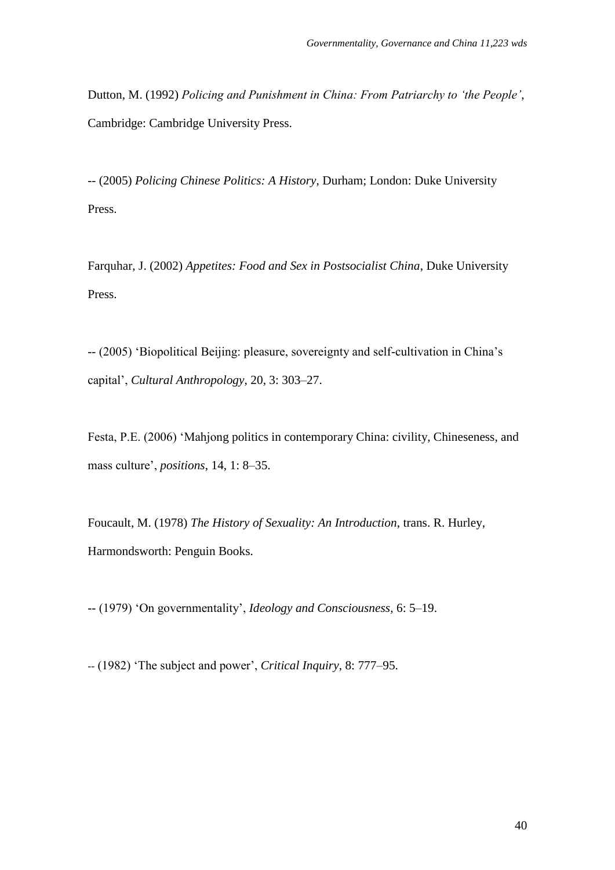Dutton, M. (1992) *Policing and Punishment in China: From Patriarchy to 'the People'*, Cambridge: Cambridge University Press.

-- (2005) *Policing Chinese Politics: A History*, Durham; London: Duke University Press.

Farquhar, J. (2002) *Appetites: Food and Sex in Postsocialist China*, Duke University Press.

-- (2005) 'Biopolitical Beijing: pleasure, sovereignty and self-cultivation in China's capital', *Cultural Anthropology*, 20, 3: 303–27.

Festa, P.E. (2006) 'Mahjong politics in contemporary China: civility, Chineseness, and mass culture', *positions*, 14, 1: 8–35.

Foucault, M. (1978) *The History of Sexuality: An Introduction*, trans. R. Hurley, Harmondsworth: Penguin Books.

-- (1979) 'On governmentality', *Ideology and Consciousness*, 6: 5–19.

-- (1982) 'The subject and power', *Critical Inquiry*, 8: 777–95.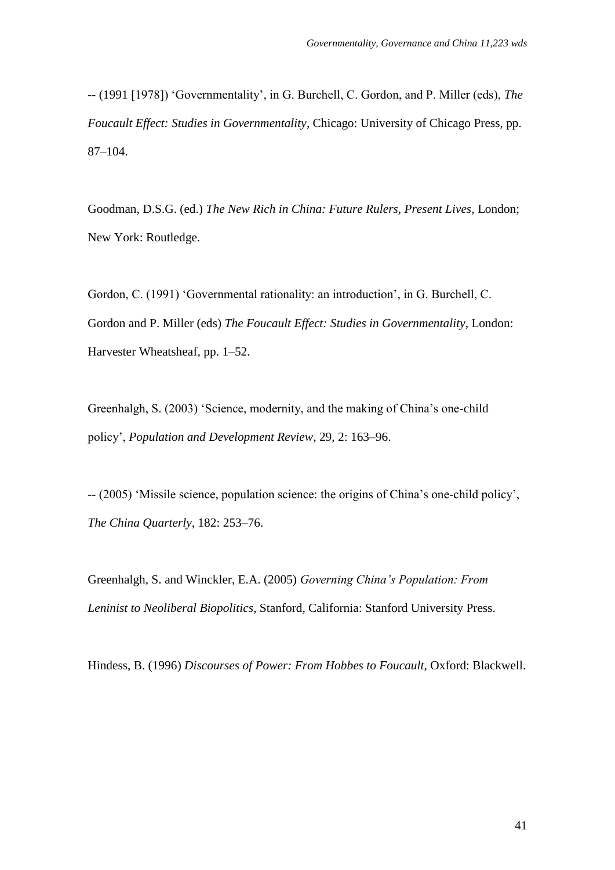-- (1991 [1978]) 'Governmentality', in G. Burchell, C. Gordon, and P. Miller (eds), *The Foucault Effect: Studies in Governmentality*, Chicago: University of Chicago Press, pp. 87–104.

Goodman, D.S.G. (ed.) *The New Rich in China: Future Rulers, Present Lives*, London; New York: Routledge.

Gordon, C. (1991) 'Governmental rationality: an introduction', in G. Burchell, C. Gordon and P. Miller (eds) *The Foucault Effect: Studies in Governmentality*, London: Harvester Wheatsheaf, pp. 1–52.

Greenhalgh, S. (2003) 'Science, modernity, and the making of China's one-child policy', *Population and Development Review*, 29, 2: 163–96.

-- (2005) 'Missile science, population science: the origins of China's one-child policy', *The China Quarterly*, 182: 253–76.

Greenhalgh, S. and Winckler, E.A. (2005) *Governing China's Population: From Leninist to Neoliberal Biopolitics*, Stanford, California: Stanford University Press.

Hindess, B. (1996) *Discourses of Power: From Hobbes to Foucault*, Oxford: Blackwell.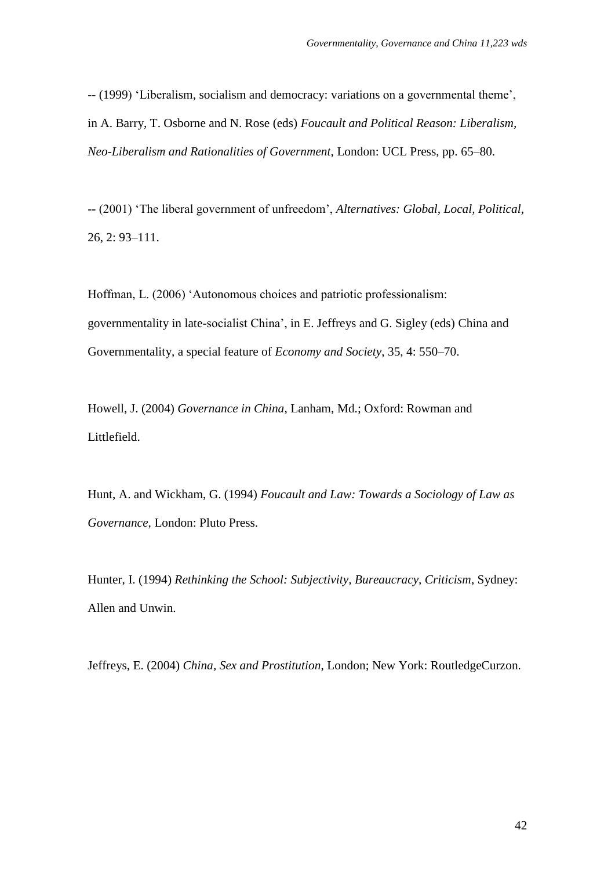-- (1999) 'Liberalism, socialism and democracy: variations on a governmental theme', in A. Barry, T. Osborne and N. Rose (eds) *Foucault and Political Reason: Liberalism, Neo-Liberalism and Rationalities of Government*, London: UCL Press, pp. 65–80.

-- (2001) 'The liberal government of unfreedom', *Alternatives: Global, Local, Political*, 26, 2: 93–111.

Hoffman, L. (2006) 'Autonomous choices and patriotic professionalism: governmentality in late-socialist China', in E. Jeffreys and G. Sigley (eds) China and Governmentality, a special feature of *Economy and Society*, 35, 4: 550–70.

Howell, J. (2004) *Governance in China*, Lanham, Md.; Oxford: Rowman and Littlefield.

Hunt, A. and Wickham, G. (1994) *Foucault and Law: Towards a Sociology of Law as Governance*, London: Pluto Press.

Hunter, I. (1994) *Rethinking the School: Subjectivity, Bureaucracy, Criticism*, Sydney: Allen and Unwin.

Jeffreys, E. (2004) *China, Sex and Prostitution*, London; New York: RoutledgeCurzon.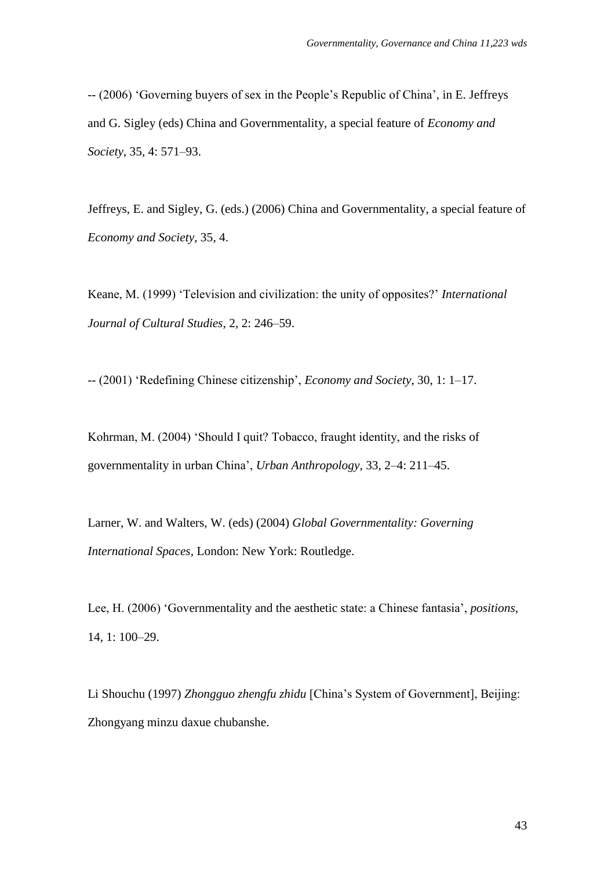-- (2006) 'Governing buyers of sex in the People's Republic of China', in E. Jeffreys and G. Sigley (eds) China and Governmentality, a special feature of *Economy and Society*, 35, 4: 571–93.

Jeffreys, E. and Sigley, G. (eds.) (2006) China and Governmentality, a special feature of *Economy and Society*, 35, 4.

Keane, M. (1999) 'Television and civilization: the unity of opposites?' *International Journal of Cultural Studies*, 2, 2: 246–59.

-- (2001) 'Redefining Chinese citizenship', *Economy and Society*, 30, 1: 1–17.

Kohrman, M. (2004) 'Should I quit? Tobacco, fraught identity, and the risks of governmentality in urban China', *Urban Anthropology*, 33, 2–4: 211–45.

Larner, W. and Walters, W. (eds) (2004) *Global Governmentality: Governing International Spaces*, London: New York: Routledge.

Lee, H. (2006) 'Governmentality and the aesthetic state: a Chinese fantasia', *positions*, 14, 1: 100–29.

Li Shouchu (1997) *Zhongguo zhengfu zhidu* [China's System of Government], Beijing: Zhongyang minzu daxue chubanshe.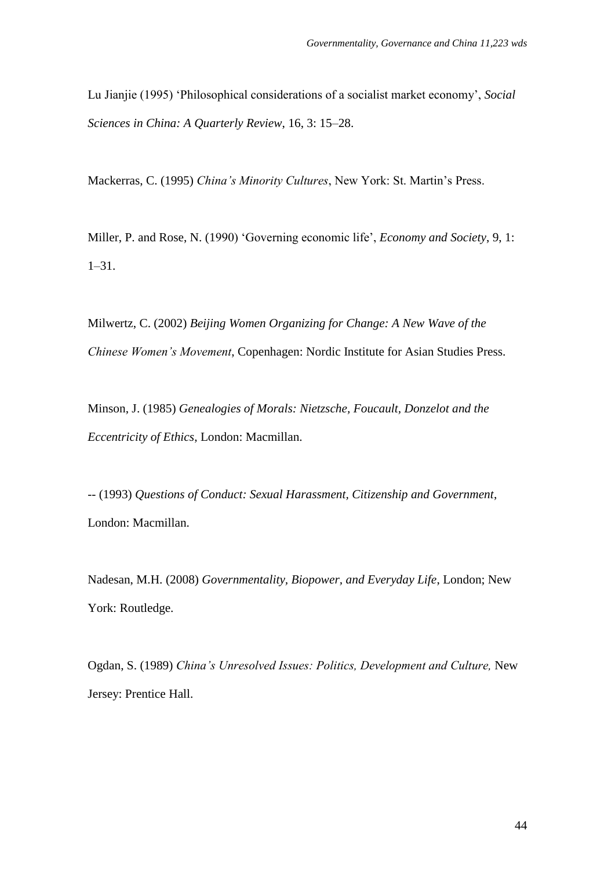Lu Jianjie (1995) 'Philosophical considerations of a socialist market economy', *Social Sciences in China: A Quarterly Review*, 16, 3: 15–28.

Mackerras, C. (1995) *China's Minority Cultures*, New York: St. Martin's Press.

Miller, P. and Rose, N. (1990) 'Governing economic life', *Economy and Society*, 9, 1: 1–31.

Milwertz, C. (2002) *Beijing Women Organizing for Change: A New Wave of the Chinese Women's Movement*, Copenhagen: Nordic Institute for Asian Studies Press.

Minson, J. (1985) *Genealogies of Morals: Nietzsche, Foucault, Donzelot and the Eccentricity of Ethics*, London: Macmillan.

-- (1993) *Questions of Conduct: Sexual Harassment, Citizenship and Government*, London: Macmillan.

Nadesan, M.H. (2008) *Governmentality, Biopower, and Everyday Life*, London; New York: Routledge.

Ogdan, S. (1989) *China's Unresolved Issues: Politics, Development and Culture,* New Jersey: Prentice Hall.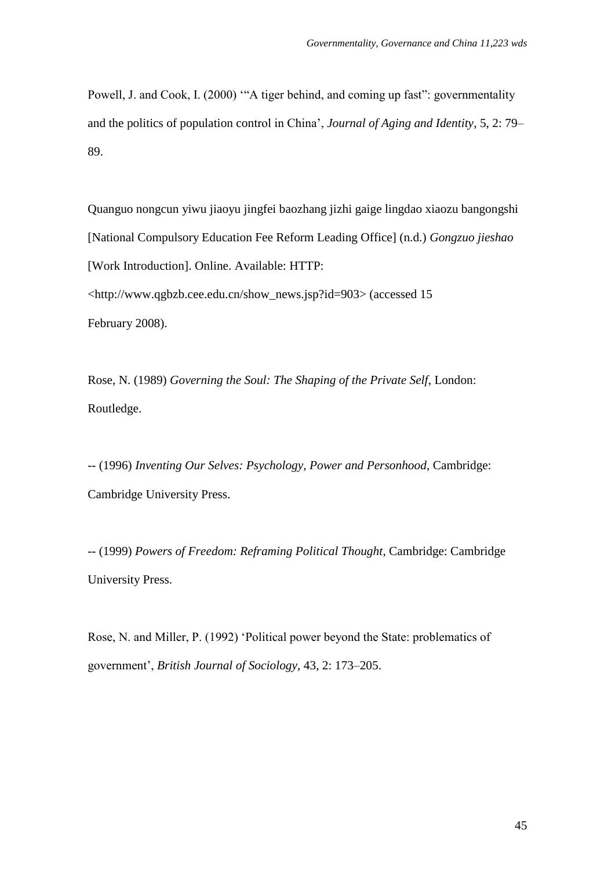Powell, J. and Cook, I. (2000) '"A tiger behind, and coming up fast": governmentality and the politics of population control in China', *Journal of Aging and Identity*, 5, 2: 79– 89.

Quanguo nongcun yiwu jiaoyu jingfei baozhang jizhi gaige lingdao xiaozu bangongshi [National Compulsory Education Fee Reform Leading Office] (n.d.) *Gongzuo jieshao* [Work Introduction]. Online. Available: HTTP: <http://www.qgbzb.cee.edu.cn/show\_news.jsp?id=903> (accessed 15 February 2008).

Rose, N. (1989) *Governing the Soul: The Shaping of the Private Self*, London: Routledge.

-- (1996) *Inventing Our Selves: Psychology, Power and Personhood*, Cambridge: Cambridge University Press.

-- (1999) *Powers of Freedom: Reframing Political Thought*, Cambridge: Cambridge University Press.

Rose, N. and Miller, P. (1992) 'Political power beyond the State: problematics of government', *British Journal of Sociology*, 43, 2: 173–205.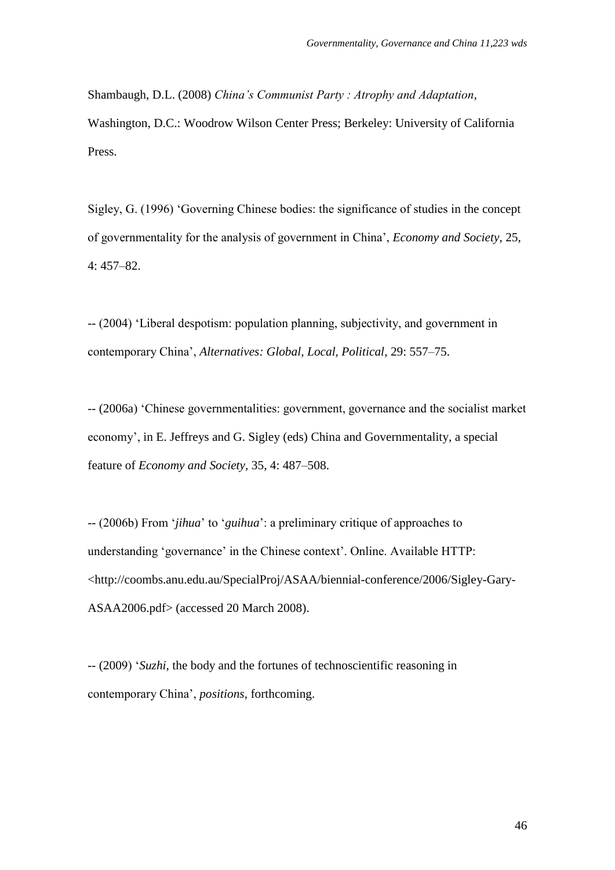Shambaugh, D.L. (2008) *China's Communist Party : Atrophy and Adaptation*, Washington, D.C.: Woodrow Wilson Center Press; Berkeley: University of California Press.

Sigley, G. (1996) 'Governing Chinese bodies: the significance of studies in the concept of governmentality for the analysis of government in China', *Economy and Society*, 25, 4: 457–82.

-- (2004) 'Liberal despotism: population planning, subjectivity, and government in contemporary China', *Alternatives: Global, Local, Political*, 29: 557–75.

-- (2006a) 'Chinese governmentalities: government, governance and the socialist market economy', in E. Jeffreys and G. Sigley (eds) China and Governmentality, a special feature of *Economy and Society*, 35, 4: 487–508.

-- (2006b) From '*jihua*' to '*guihua*': a preliminary critique of approaches to understanding 'governance' in the Chinese context'. Online. Available HTTP: <http://coombs.anu.edu.au/SpecialProj/ASAA/biennial-conference/2006/Sigley-Gary-ASAA2006.pdf> (accessed 20 March 2008).

-- (2009) '*Suzhi*, the body and the fortunes of technoscientific reasoning in contemporary China', *positions*, forthcoming.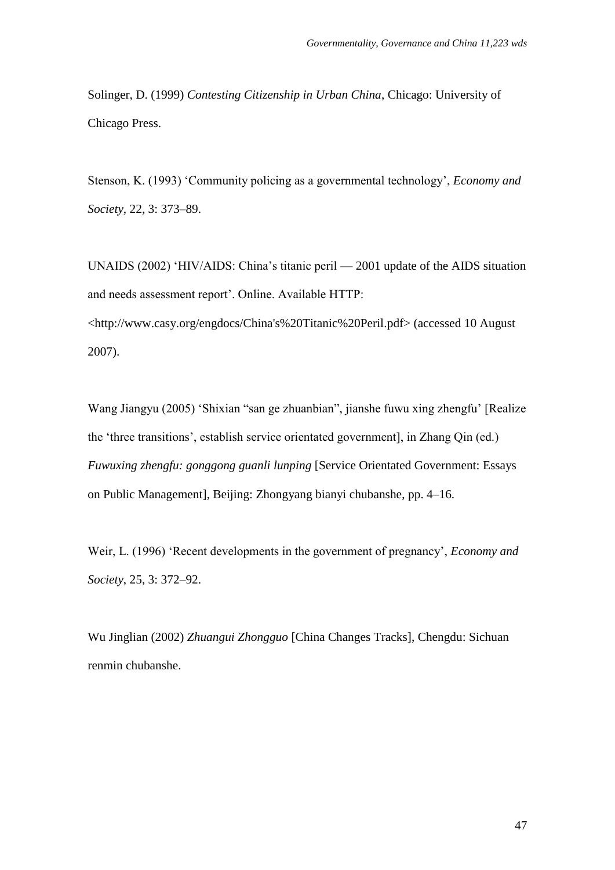Solinger, D. (1999) *Contesting Citizenship in Urban China*, Chicago: University of Chicago Press.

Stenson, K. (1993) 'Community policing as a governmental technology', *Economy and Society*, 22, 3: 373–89.

UNAIDS (2002) 'HIV/AIDS: China's titanic peril — 2001 update of the AIDS situation and needs assessment report'. Online. Available HTTP: <http://www.casy.org/engdocs/China's%20Titanic%20Peril.pdf> (accessed 10 August 2007).

Wang Jiangyu (2005) 'Shixian "san ge zhuanbian", jianshe fuwu xing zhengfu' [Realize the 'three transitions', establish service orientated government], in Zhang Qin (ed.) *Fuwuxing zhengfu: gonggong guanli lunping* [Service Orientated Government: Essays on Public Management], Beijing: Zhongyang bianyi chubanshe, pp. 4–16.

Weir, L. (1996) 'Recent developments in the government of pregnancy', *Economy and Society*, 25, 3: 372–92.

Wu Jinglian (2002) *Zhuangui Zhongguo* [China Changes Tracks], Chengdu: Sichuan renmin chubanshe.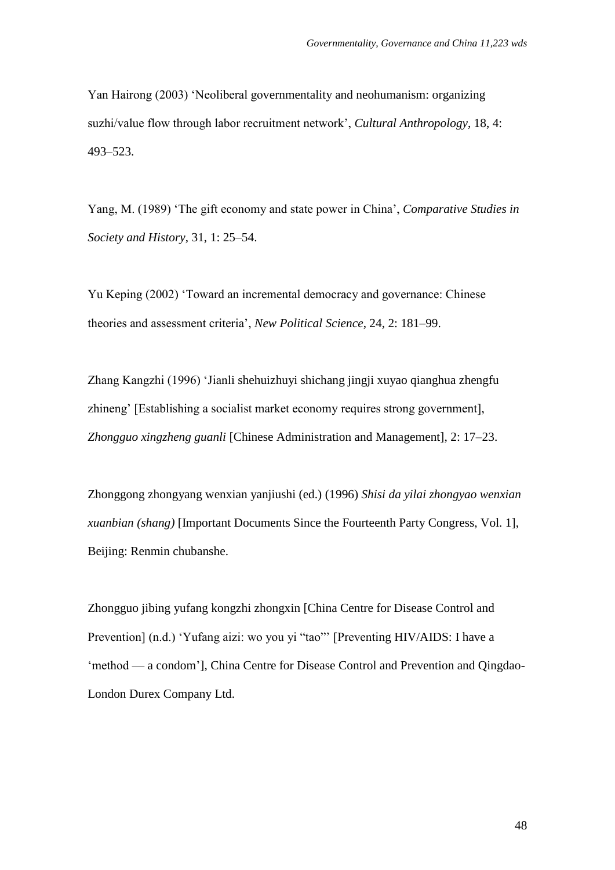Yan Hairong (2003) 'Neoliberal governmentality and neohumanism: organizing suzhi/value flow through labor recruitment network', *Cultural Anthropology*, 18, 4: 493–523.

Yang, M. (1989) 'The gift economy and state power in China', *Comparative Studies in Society and History*, 31, 1: 25–54.

Yu Keping (2002) 'Toward an incremental democracy and governance: Chinese theories and assessment criteria', *New Political Science*, 24, 2: 181–99.

Zhang Kangzhi (1996) 'Jianli shehuizhuyi shichang jingji xuyao qianghua zhengfu zhineng' [Establishing a socialist market economy requires strong government], *Zhongguo xingzheng guanli* [Chinese Administration and Management], 2: 17–23.

Zhonggong zhongyang wenxian yanjiushi (ed.) (1996) *Shisi da yilai zhongyao wenxian xuanbian (shang)* [Important Documents Since the Fourteenth Party Congress, Vol. 1], Beijing: Renmin chubanshe.

Zhongguo jibing yufang kongzhi zhongxin [China Centre for Disease Control and Prevention] (n.d.) 'Yufang aizi: wo you yi "tao"' [Preventing HIV/AIDS: I have a 'method — a condom'], China Centre for Disease Control and Prevention and Qingdao-London Durex Company Ltd.